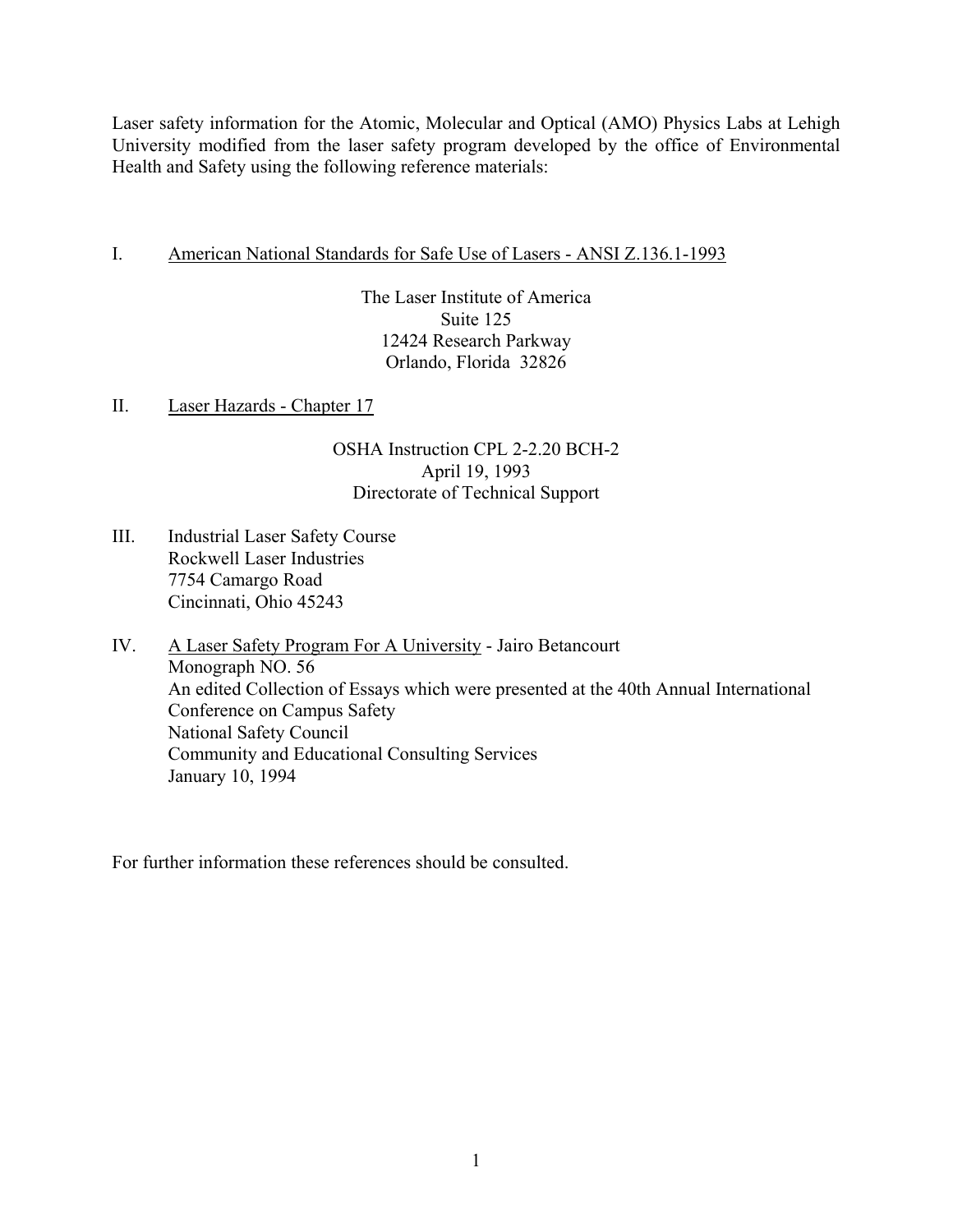Laser safety information for the Atomic, Molecular and Optical (AMO) Physics Labs at Lehigh University modified from the laser safety program developed by the office of Environmental Health and Safety using the following reference materials:

#### I. American National Standards for Safe Use of Lasers - ANSI Z.136.1-1993

The Laser Institute of America Suite 125 12424 Research Parkway Orlando, Florida 32826

II. Laser Hazards - Chapter 17

OSHA Instruction CPL 2-2.20 BCH-2 April 19, 1993 Directorate of Technical Support

- III. Industrial Laser Safety Course Rockwell Laser Industries 7754 Camargo Road Cincinnati, Ohio 45243
- IV. A Laser Safety Program For A University Jairo Betancourt Monograph NO. 56 An edited Collection of Essays which were presented at the 40th Annual International Conference on Campus Safety National Safety Council Community and Educational Consulting Services January 10, 1994

For further information these references should be consulted.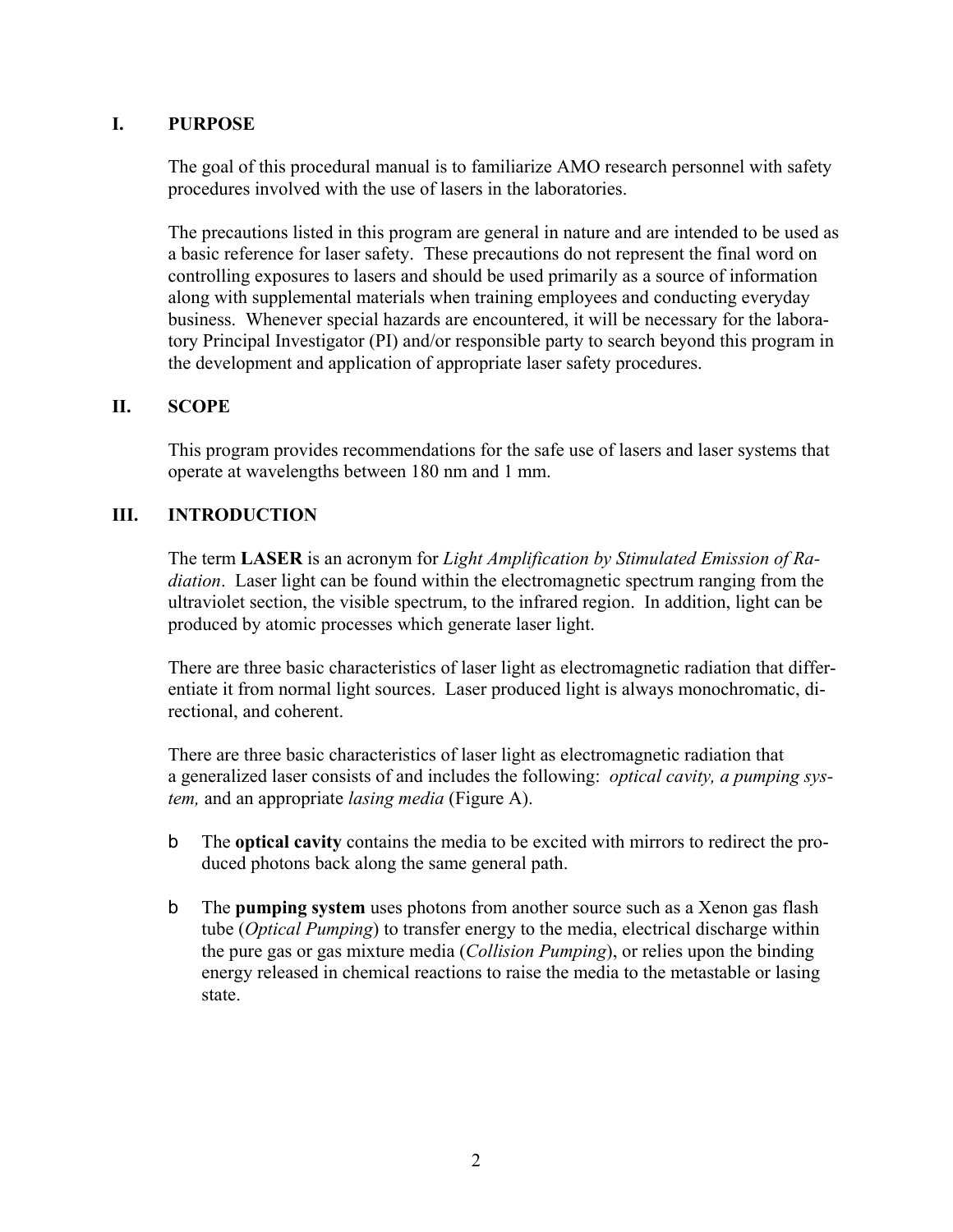### **I. PURPOSE**

 The goal of this procedural manual is to familiarize AMO research personnel with safety procedures involved with the use of lasers in the laboratories.

 The precautions listed in this program are general in nature and are intended to be used as a basic reference for laser safety. These precautions do not represent the final word on controlling exposures to lasers and should be used primarily as a source of information along with supplemental materials when training employees and conducting everyday business. Whenever special hazards are encountered, it will be necessary for the laboratory Principal Investigator (PI) and/or responsible party to search beyond this program in the development and application of appropriate laser safety procedures.

### **II. SCOPE**

 This program provides recommendations for the safe use of lasers and laser systems that operate at wavelengths between 180 nm and 1 mm.

### **III. INTRODUCTION**

 The term **LASER** is an acronym for *Light Amplification by Stimulated Emission of Radiation*. Laser light can be found within the electromagnetic spectrum ranging from the ultraviolet section, the visible spectrum, to the infrared region. In addition, light can be produced by atomic processes which generate laser light.

 There are three basic characteristics of laser light as electromagnetic radiation that differentiate it from normal light sources. Laser produced light is always monochromatic, directional, and coherent.

 There are three basic characteristics of laser light as electromagnetic radiation that a generalized laser consists of and includes the following: *optical cavity, a pumping system,* and an appropriate *lasing media* (Figure A).

- b The **optical cavity** contains the media to be excited with mirrors to redirect the produced photons back along the same general path.
- b The **pumping system** uses photons from another source such as a Xenon gas flash tube (*Optical Pumping*) to transfer energy to the media, electrical discharge within the pure gas or gas mixture media (*Collision Pumping*), or relies upon the binding energy released in chemical reactions to raise the media to the metastable or lasing state.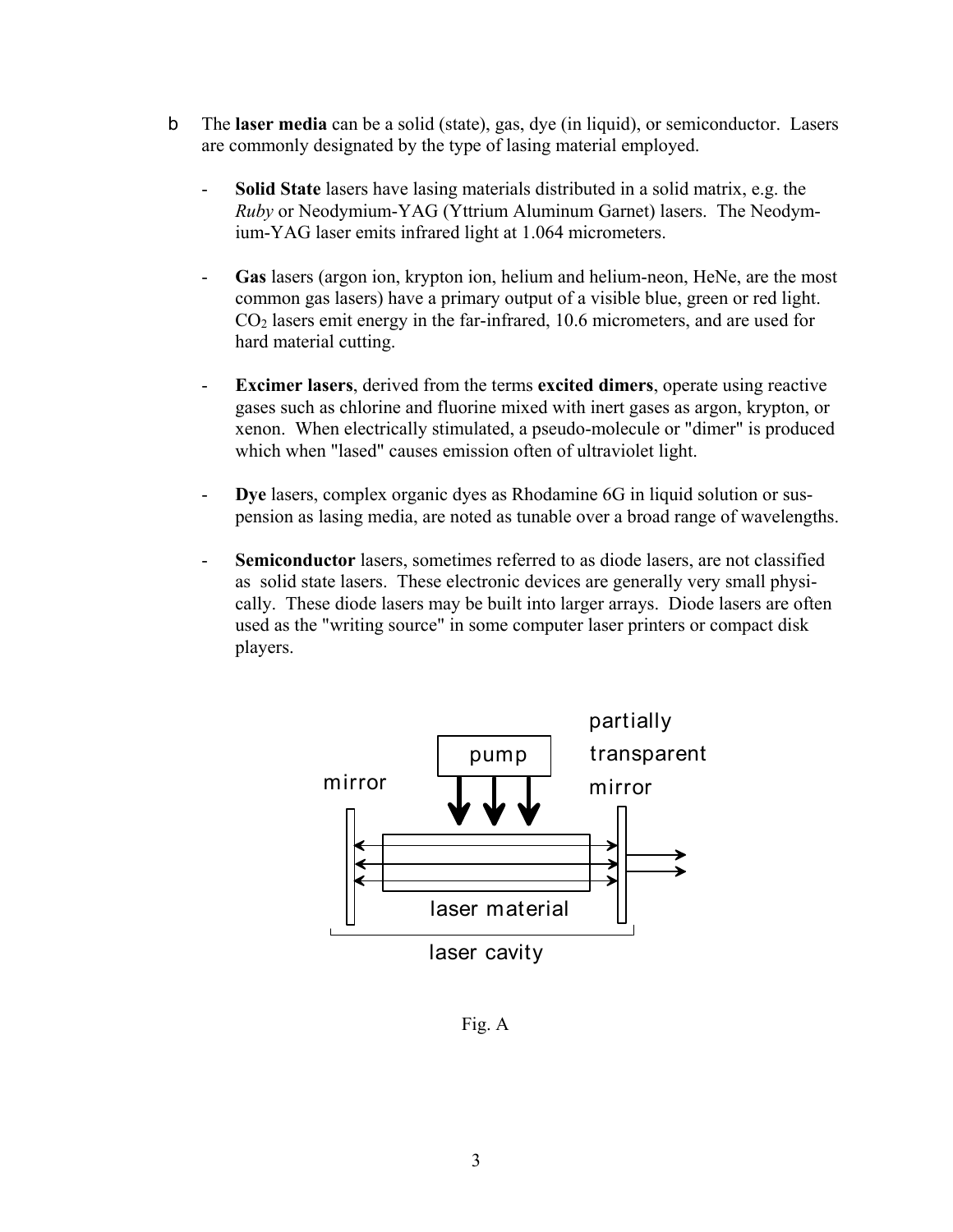- b The **laser media** can be a solid (state), gas, dye (in liquid), or semiconductor. Lasers are commonly designated by the type of lasing material employed.
	- **Solid State** lasers have lasing materials distributed in a solid matrix, e.g. the *Ruby* or Neodymium-YAG (Yttrium Aluminum Garnet) lasers. The Neodymium-YAG laser emits infrared light at 1.064 micrometers.
	- Gas lasers (argon ion, krypton ion, helium and helium-neon, HeNe, are the most common gas lasers) have a primary output of a visible blue, green or red light.  $CO<sub>2</sub>$  lasers emit energy in the far-infrared, 10.6 micrometers, and are used for hard material cutting.
	- **Excimer lasers**, derived from the terms **excited dimers**, operate using reactive gases such as chlorine and fluorine mixed with inert gases as argon, krypton, or xenon. When electrically stimulated, a pseudo-molecule or "dimer" is produced which when "lased" causes emission often of ultraviolet light.
	- **Dye** lasers, complex organic dyes as Rhodamine 6G in liquid solution or suspension as lasing media, are noted as tunable over a broad range of wavelengths.
	- **Semiconductor** lasers, sometimes referred to as diode lasers, are not classified as solid state lasers. These electronic devices are generally very small physically. These diode lasers may be built into larger arrays. Diode lasers are often used as the "writing source" in some computer laser printers or compact disk players.



Fig. A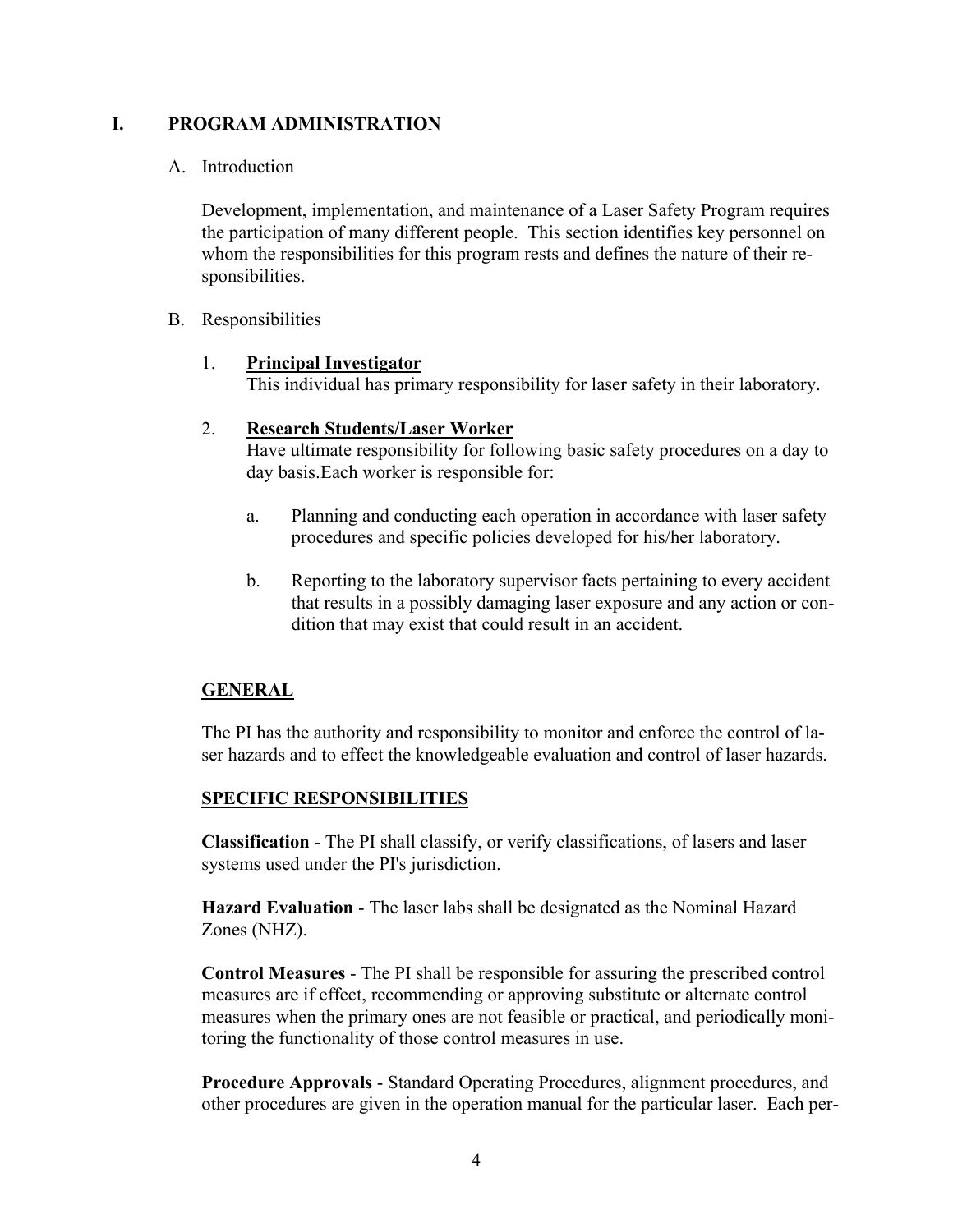#### **I. PROGRAM ADMINISTRATION**

#### A. Introduction

 Development, implementation, and maintenance of a Laser Safety Program requires the participation of many different people. This section identifies key personnel on whom the responsibilities for this program rests and defines the nature of their responsibilities.

#### B. Responsibilities

#### 1. **Principal Investigator**

This individual has primary responsibility for laser safety in their laboratory.

#### 2. **Research Students/Laser Worker**

 Have ultimate responsibility for following basic safety procedures on a day to day basis. Each worker is responsible for:

- a. Planning and conducting each operation in accordance with laser safety procedures and specific policies developed for his/her laboratory.
- b. Reporting to the laboratory supervisor facts pertaining to every accident that results in a possibly damaging laser exposure and any action or condition that may exist that could result in an accident.

### **GENERAL**

 The PI has the authority and responsibility to monitor and enforce the control of laser hazards and to effect the knowledgeable evaluation and control of laser hazards.

#### **SPECIFIC RESPONSIBILITIES**

 **Classification** - The PI shall classify, or verify classifications, of lasers and laser systems used under the PI's jurisdiction.

 **Hazard Evaluation** - The laser labs shall be designated as the Nominal Hazard Zones (NHZ).

 **Control Measures** - The PI shall be responsible for assuring the prescribed control measures are if effect, recommending or approving substitute or alternate control measures when the primary ones are not feasible or practical, and periodically monitoring the functionality of those control measures in use.

 **Procedure Approvals** - Standard Operating Procedures, alignment procedures, and other procedures are given in the operation manual for the particular laser. Each per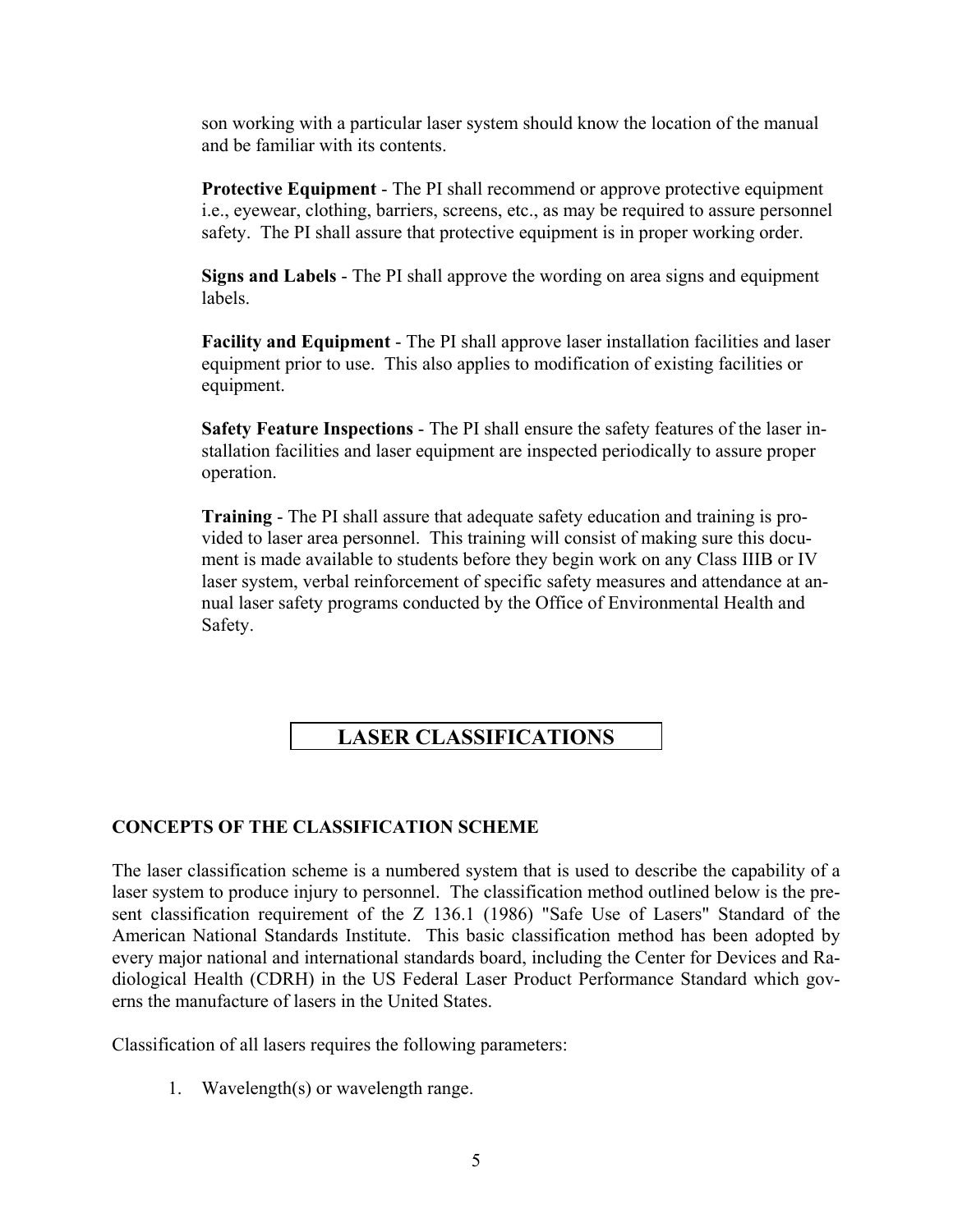son working with a particular laser system should know the location of the manual and be familiar with its contents.

 **Protective Equipment** - The PI shall recommend or approve protective equipment i.e., eyewear, clothing, barriers, screens, etc., as may be required to assure personnel safety. The PI shall assure that protective equipment is in proper working order.

 **Signs and Labels** - The PI shall approve the wording on area signs and equipment labels.

 **Facility and Equipment** - The PI shall approve laser installation facilities and laser equipment prior to use. This also applies to modification of existing facilities or equipment.

 **Safety Feature Inspections** - The PI shall ensure the safety features of the laser installation facilities and laser equipment are inspected periodically to assure proper operation.

 **Training** - The PI shall assure that adequate safety education and training is provided to laser area personnel. This training will consist of making sure this document is made available to students before they begin work on any Class IIIB or IV laser system, verbal reinforcement of specific safety measures and attendance at annual laser safety programs conducted by the Office of Environmental Health and Safety.

# **LASER CLASSIFICATIONS**

## **CONCEPTS OF THE CLASSIFICATION SCHEME**

The laser classification scheme is a numbered system that is used to describe the capability of a laser system to produce injury to personnel. The classification method outlined below is the present classification requirement of the Z 136.1 (1986) "Safe Use of Lasers" Standard of the American National Standards Institute. This basic classification method has been adopted by every major national and international standards board, including the Center for Devices and Radiological Health (CDRH) in the US Federal Laser Product Performance Standard which governs the manufacture of lasers in the United States.

Classification of all lasers requires the following parameters:

1. Wavelength(s) or wavelength range.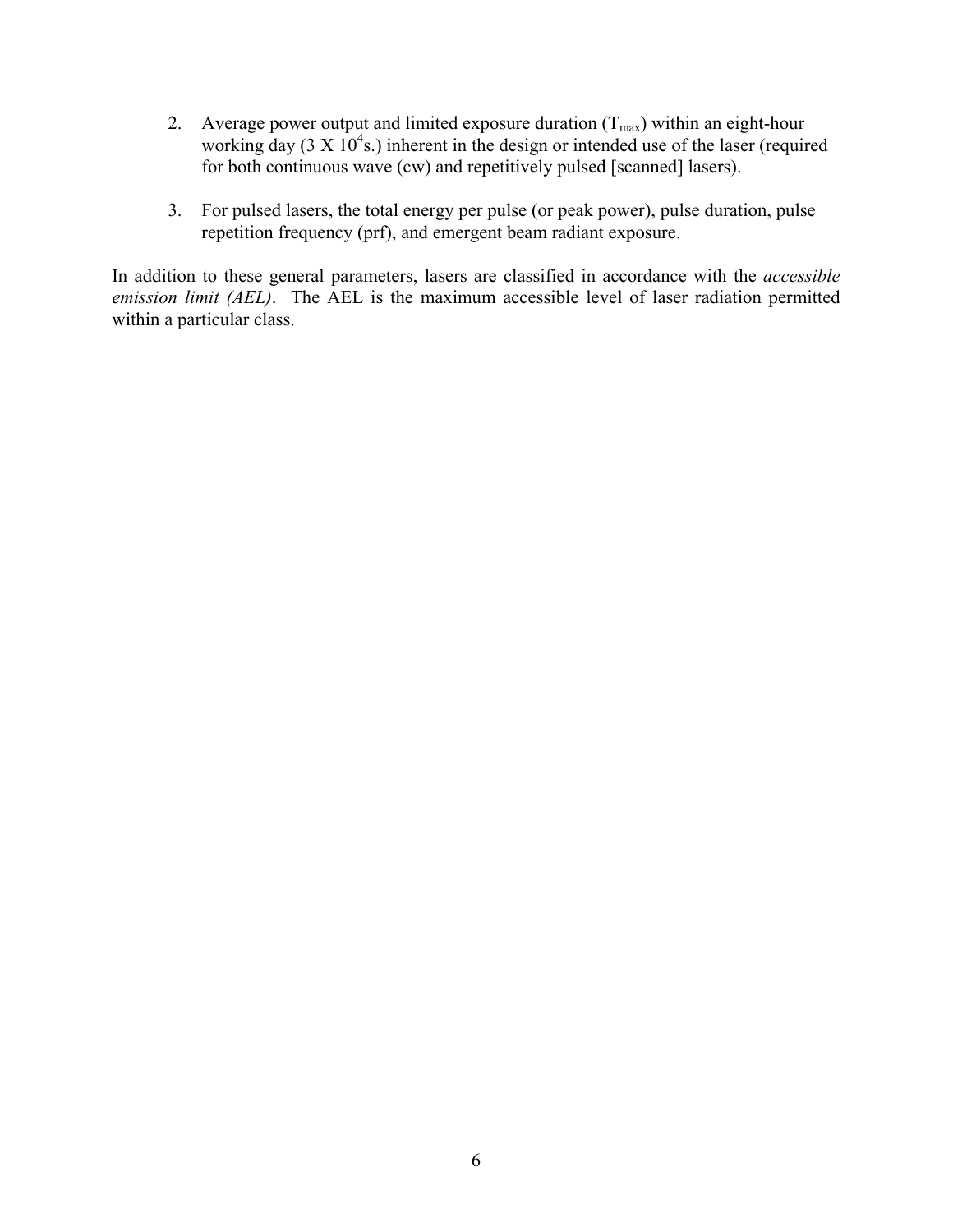- 2. Average power output and limited exposure duration  $(T_{max})$  within an eight-hour working day  $(3 \times 10^4 s.)$  inherent in the design or intended use of the laser (required for both continuous wave (cw) and repetitively pulsed [scanned] lasers).
- 3. For pulsed lasers, the total energy per pulse (or peak power), pulse duration, pulse repetition frequency (prf), and emergent beam radiant exposure.

In addition to these general parameters, lasers are classified in accordance with the *accessible emission limit (AEL)*. The AEL is the maximum accessible level of laser radiation permitted within a particular class.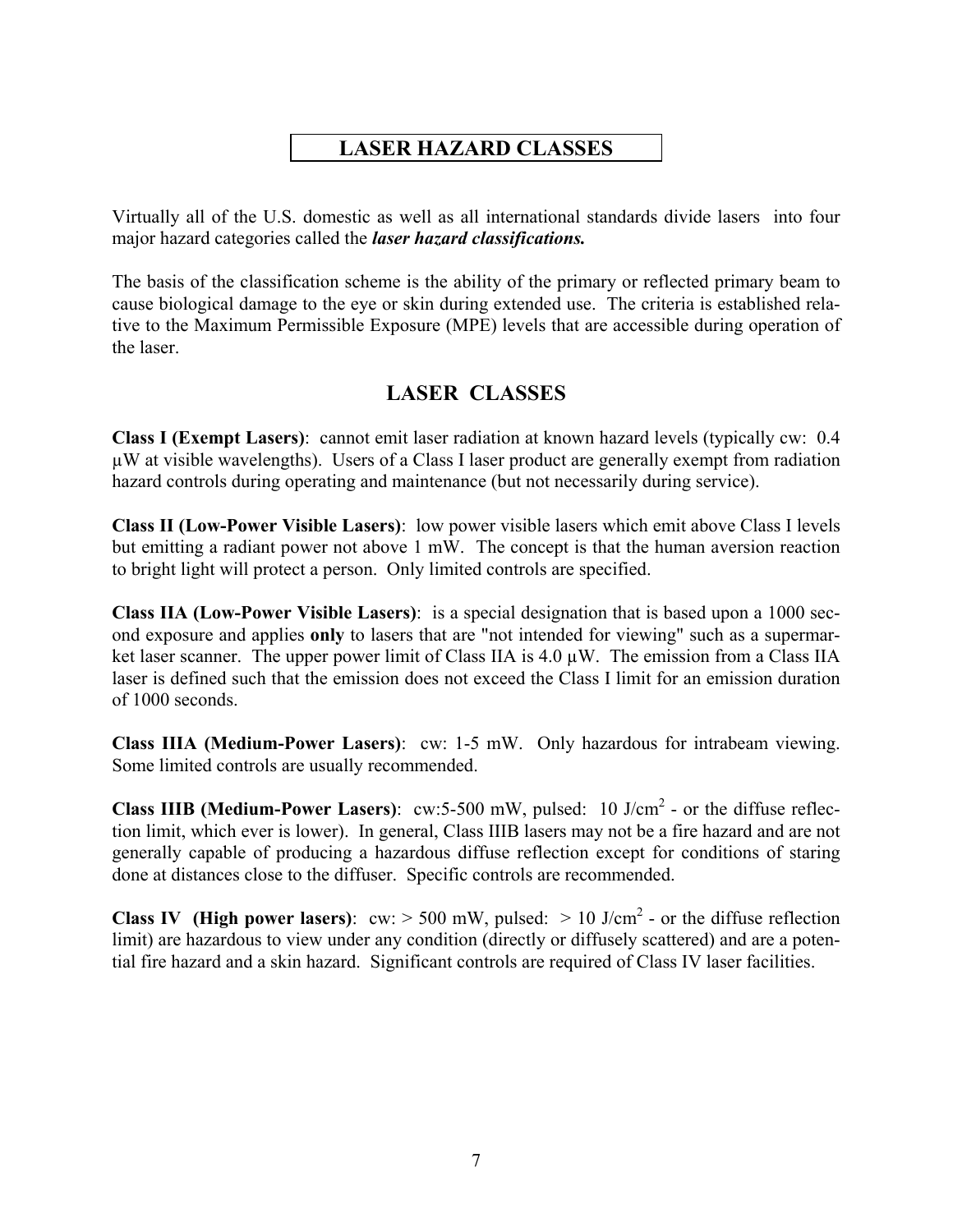# **LASER HAZARD CLASSES**

Virtually all of the U.S. domestic as well as all international standards divide lasers into four major hazard categories called the *laser hazard classifications.*

The basis of the classification scheme is the ability of the primary or reflected primary beam to cause biological damage to the eye or skin during extended use. The criteria is established relative to the Maximum Permissible Exposure (MPE) levels that are accessible during operation of the laser.

# **LASER CLASSES**

**Class I (Exempt Lasers)**: cannot emit laser radiation at known hazard levels (typically cw: 0.4 µW at visible wavelengths). Users of a Class I laser product are generally exempt from radiation hazard controls during operating and maintenance (but not necessarily during service).

**Class II (Low-Power Visible Lasers)**: low power visible lasers which emit above Class I levels but emitting a radiant power not above 1 mW. The concept is that the human aversion reaction to bright light will protect a person. Only limited controls are specified.

**Class IIA (Low-Power Visible Lasers)**: is a special designation that is based upon a 1000 second exposure and applies **only** to lasers that are "not intended for viewing" such as a supermarket laser scanner. The upper power limit of Class IIA is  $4.0 \mu W$ . The emission from a Class IIA laser is defined such that the emission does not exceed the Class I limit for an emission duration of 1000 seconds.

**Class IIIA (Medium-Power Lasers)**: cw: 1-5 mW. Only hazardous for intrabeam viewing. Some limited controls are usually recommended.

**Class IIIB (Medium-Power Lasers):** cw:5-500 mW, pulsed:  $10 \text{ J/cm}^2$  - or the diffuse reflection limit, which ever is lower). In general, Class IIIB lasers may not be a fire hazard and are not generally capable of producing a hazardous diffuse reflection except for conditions of staring done at distances close to the diffuser. Specific controls are recommended.

**Class IV** (High power lasers):  $cw: > 500$  mW, pulsed:  $> 10$  J/cm<sup>2</sup> - or the diffuse reflection limit) are hazardous to view under any condition (directly or diffusely scattered) and are a potential fire hazard and a skin hazard. Significant controls are required of Class IV laser facilities.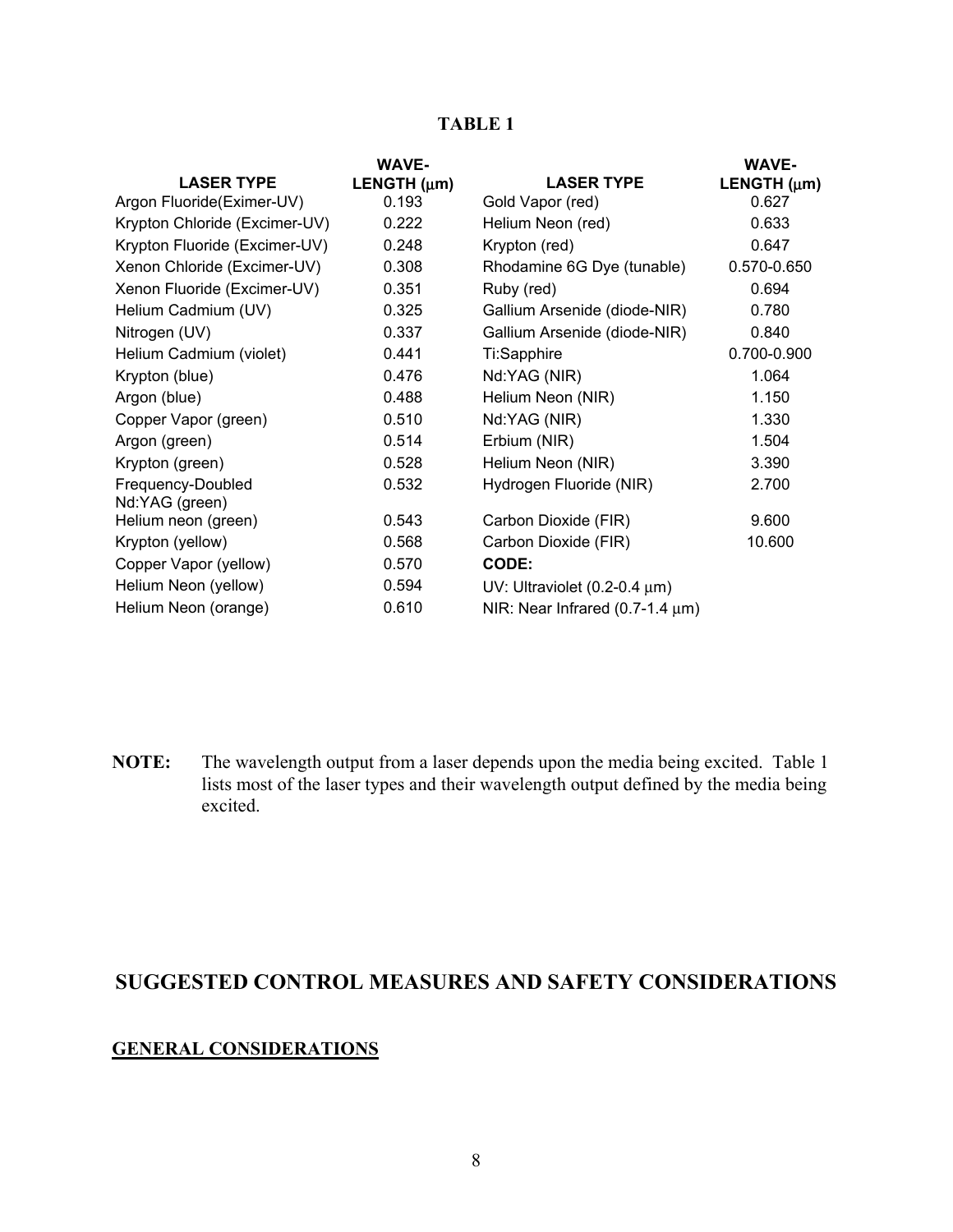### **TABLE 1**

|                                     | <b>WAVE-</b> |                                      | <b>WAVE-</b> |
|-------------------------------------|--------------|--------------------------------------|--------------|
| <b>LASER TYPE</b>                   | LENGTH (µm)  | <b>LASER TYPE</b>                    | LENGTH (µm)  |
| Argon Fluoride(Eximer-UV)           | 0.193        | Gold Vapor (red)                     | 0.627        |
| Krypton Chloride (Excimer-UV)       | 0.222        | Helium Neon (red)                    | 0.633        |
| Krypton Fluoride (Excimer-UV)       | 0.248        | Krypton (red)                        | 0.647        |
| Xenon Chloride (Excimer-UV)         | 0.308        | Rhodamine 6G Dye (tunable)           | 0.570-0.650  |
| Xenon Fluoride (Excimer-UV)         | 0.351        | Ruby (red)                           | 0.694        |
| Helium Cadmium (UV)                 | 0.325        | Gallium Arsenide (diode-NIR)         | 0.780        |
| Nitrogen (UV)                       | 0.337        | Gallium Arsenide (diode-NIR)         | 0.840        |
| Helium Cadmium (violet)             | 0.441        | Ti:Sapphire                          | 0.700-0.900  |
| Krypton (blue)                      | 0.476        | Nd:YAG (NIR)                         | 1.064        |
| Argon (blue)                        | 0.488        | Helium Neon (NIR)                    | 1.150        |
| Copper Vapor (green)                | 0.510        | Nd:YAG (NIR)                         | 1.330        |
| Argon (green)                       | 0.514        | Erbium (NIR)                         | 1.504        |
| Krypton (green)                     | 0.528        | Helium Neon (NIR)                    | 3.390        |
| Frequency-Doubled<br>Nd:YAG (green) | 0.532        | Hydrogen Fluoride (NIR)              | 2.700        |
| Helium neon (green)                 | 0.543        | Carbon Dioxide (FIR)                 | 9.600        |
| Krypton (yellow)                    | 0.568        | Carbon Dioxide (FIR)                 | 10.600       |
| Copper Vapor (yellow)               | 0.570        | CODE:                                |              |
| Helium Neon (yellow)                | 0.594        | UV: Ultraviolet $(0.2-0.4 \mu m)$    |              |
| Helium Neon (orange)                | 0.610        | NIR: Near Infrared (0.7-1.4 $\mu$ m) |              |
|                                     |              |                                      |              |

**NOTE:** The wavelength output from a laser depends upon the media being excited. Table 1 lists most of the laser types and their wavelength output defined by the media being excited.

# **SUGGESTED CONTROL MEASURES AND SAFETY CONSIDERATIONS**

### **GENERAL CONSIDERATIONS**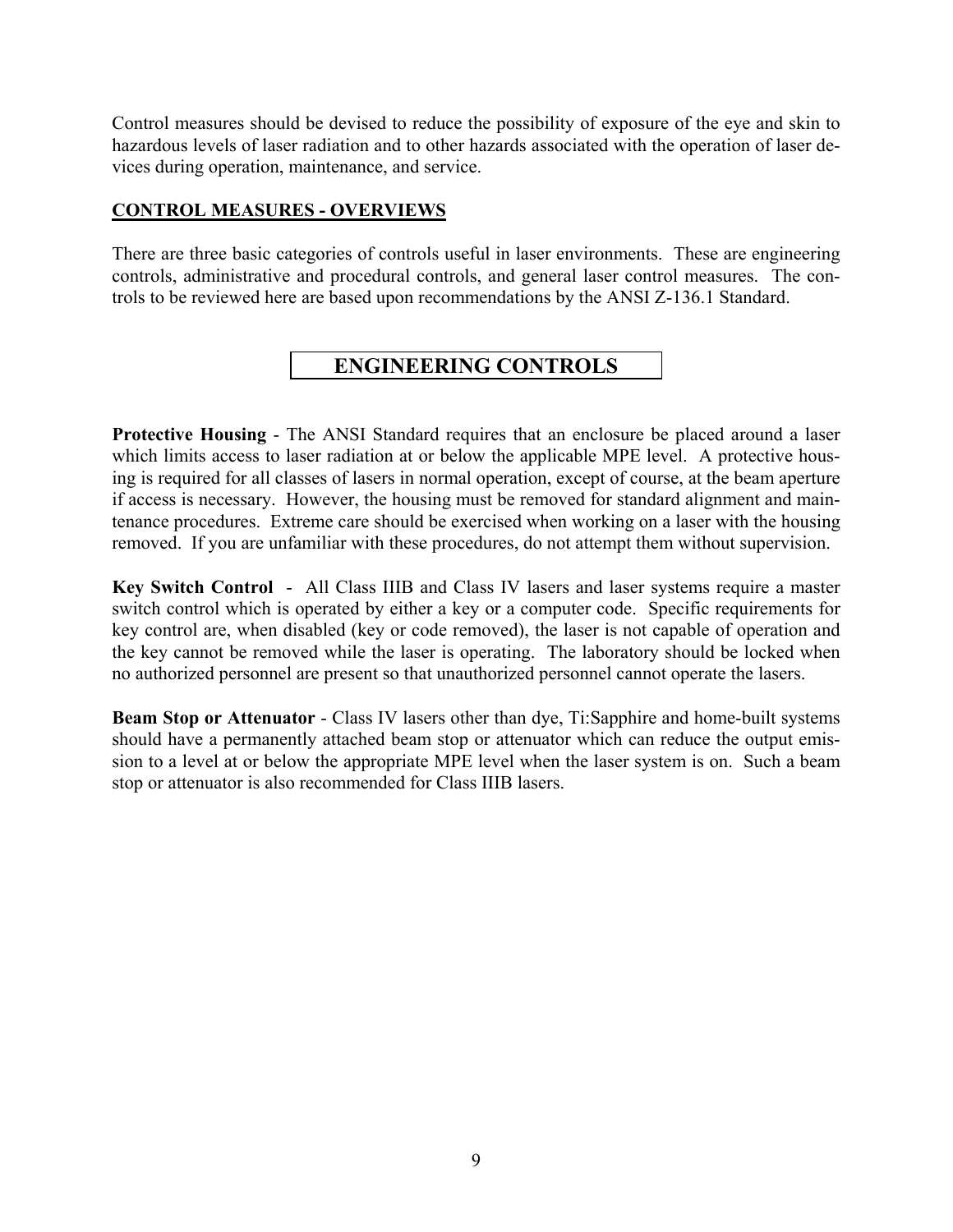Control measures should be devised to reduce the possibility of exposure of the eye and skin to hazardous levels of laser radiation and to other hazards associated with the operation of laser devices during operation, maintenance, and service.

#### **CONTROL MEASURES - OVERVIEWS**

There are three basic categories of controls useful in laser environments. These are engineering controls, administrative and procedural controls, and general laser control measures. The controls to be reviewed here are based upon recommendations by the ANSI Z-136.1 Standard.

# **ENGINEERING CONTROLS**

**Protective Housing -** The ANSI Standard requires that an enclosure be placed around a laser which limits access to laser radiation at or below the applicable MPE level. A protective housing is required for all classes of lasers in normal operation, except of course, at the beam aperture if access is necessary. However, the housing must be removed for standard alignment and maintenance procedures. Extreme care should be exercised when working on a laser with the housing removed. If you are unfamiliar with these procedures, do not attempt them without supervision.

**Key Switch Control** - All Class IIIB and Class IV lasers and laser systems require a master switch control which is operated by either a key or a computer code. Specific requirements for key control are, when disabled (key or code removed), the laser is not capable of operation and the key cannot be removed while the laser is operating. The laboratory should be locked when no authorized personnel are present so that unauthorized personnel cannot operate the lasers.

**Beam Stop or Attenuator** - Class IV lasers other than dye, Ti:Sapphire and home-built systems should have a permanently attached beam stop or attenuator which can reduce the output emission to a level at or below the appropriate MPE level when the laser system is on. Such a beam stop or attenuator is also recommended for Class IIIB lasers.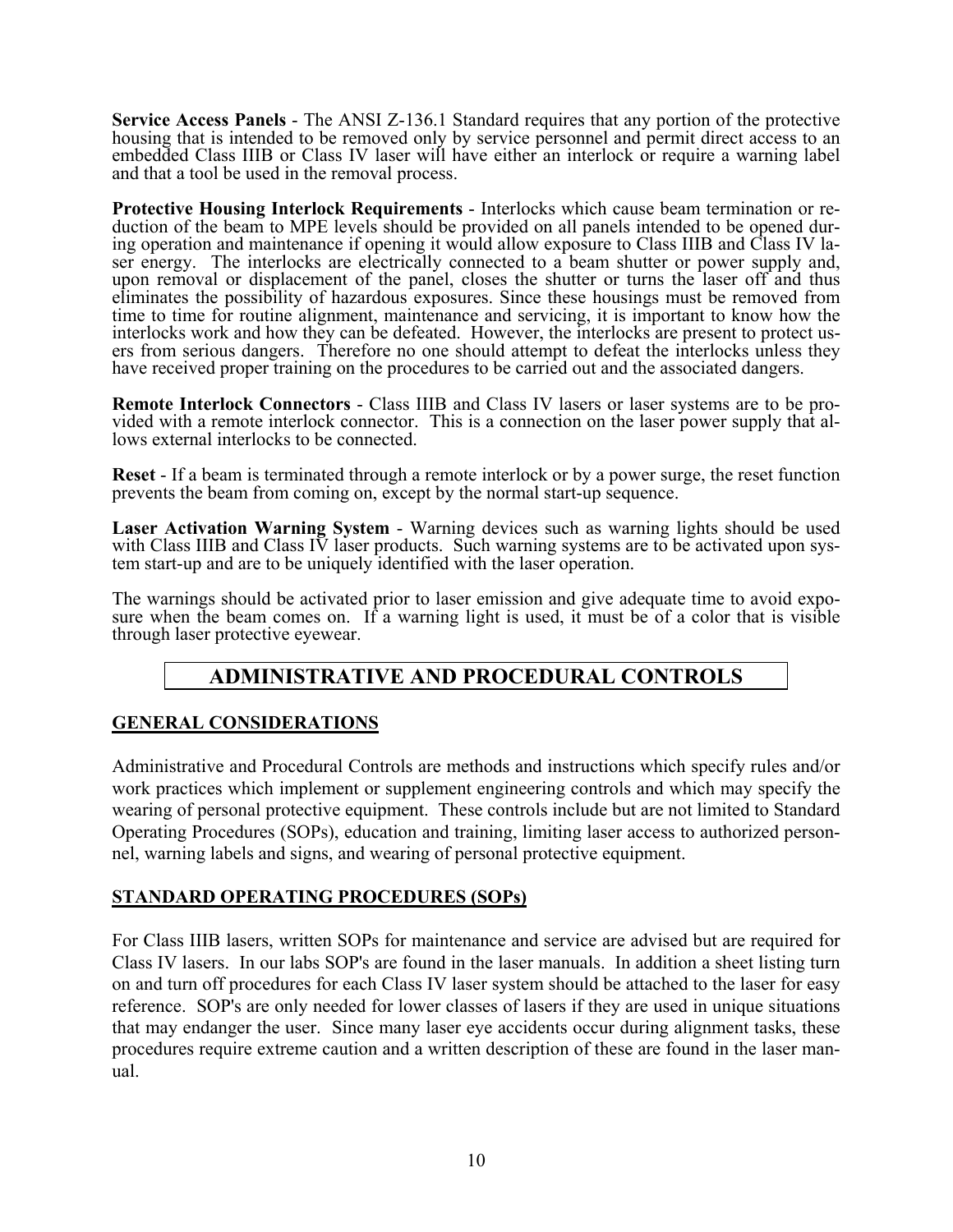**Service Access Panels** - The ANSI Z-136.1 Standard requires that any portion of the protective housing that is intended to be removed only by service personnel and permit direct access to an embedded Class IIIB or Class IV laser will have either an interlock or require a warning label and that a tool be used in the removal process.

**Protective Housing Interlock Requirements** - Interlocks which cause beam termination or reduction of the beam to MPE levels should be provided on all panels intended to be opened during operation and maintenance if opening it would allow exposure to Class IIIB and Class IV laser energy. The interlocks are electrically connected to a beam shutter or power supply and, upon removal or displacement of the panel, closes the shutter or turns the laser off and thus eliminates the possibility of hazardous exposures. Since these housings must be removed from time to time for routine alignment, maintenance and servicing, it is important to know how the interlocks work and how they can be defeated. However, the interlocks are present to protect users from serious dangers. Therefore no one should attempt to defeat the interlocks unless they have received proper training on the procedures to be carried out and the associated dangers.

**Remote Interlock Connectors** - Class IIIB and Class IV lasers or laser systems are to be provided with a remote interlock connector. This is a connection on the laser power supply that allows external interlocks to be connected.

**Reset** - If a beam is terminated through a remote interlock or by a power surge, the reset function prevents the beam from coming on, except by the normal start-up sequence.

**Laser Activation Warning System** - Warning devices such as warning lights should be used with Class IIIB and Class IV laser products. Such warning systems are to be activated upon system start-up and are to be uniquely identified with the laser operation.

The warnings should be activated prior to laser emission and give adequate time to avoid exposure when the beam comes on. If a warning light is used, it must be of a color that is visible through laser protective eyewear.

# **ADMINISTRATIVE AND PROCEDURAL CONTROLS**

### **GENERAL CONSIDERATIONS**

Administrative and Procedural Controls are methods and instructions which specify rules and/or work practices which implement or supplement engineering controls and which may specify the wearing of personal protective equipment. These controls include but are not limited to Standard Operating Procedures (SOPs), education and training, limiting laser access to authorized personnel, warning labels and signs, and wearing of personal protective equipment.

### **STANDARD OPERATING PROCEDURES (SOPs)**

For Class IIIB lasers, written SOPs for maintenance and service are advised but are required for Class IV lasers. In our labs SOP's are found in the laser manuals. In addition a sheet listing turn on and turn off procedures for each Class IV laser system should be attached to the laser for easy reference. SOP's are only needed for lower classes of lasers if they are used in unique situations that may endanger the user. Since many laser eye accidents occur during alignment tasks, these procedures require extreme caution and a written description of these are found in the laser manual.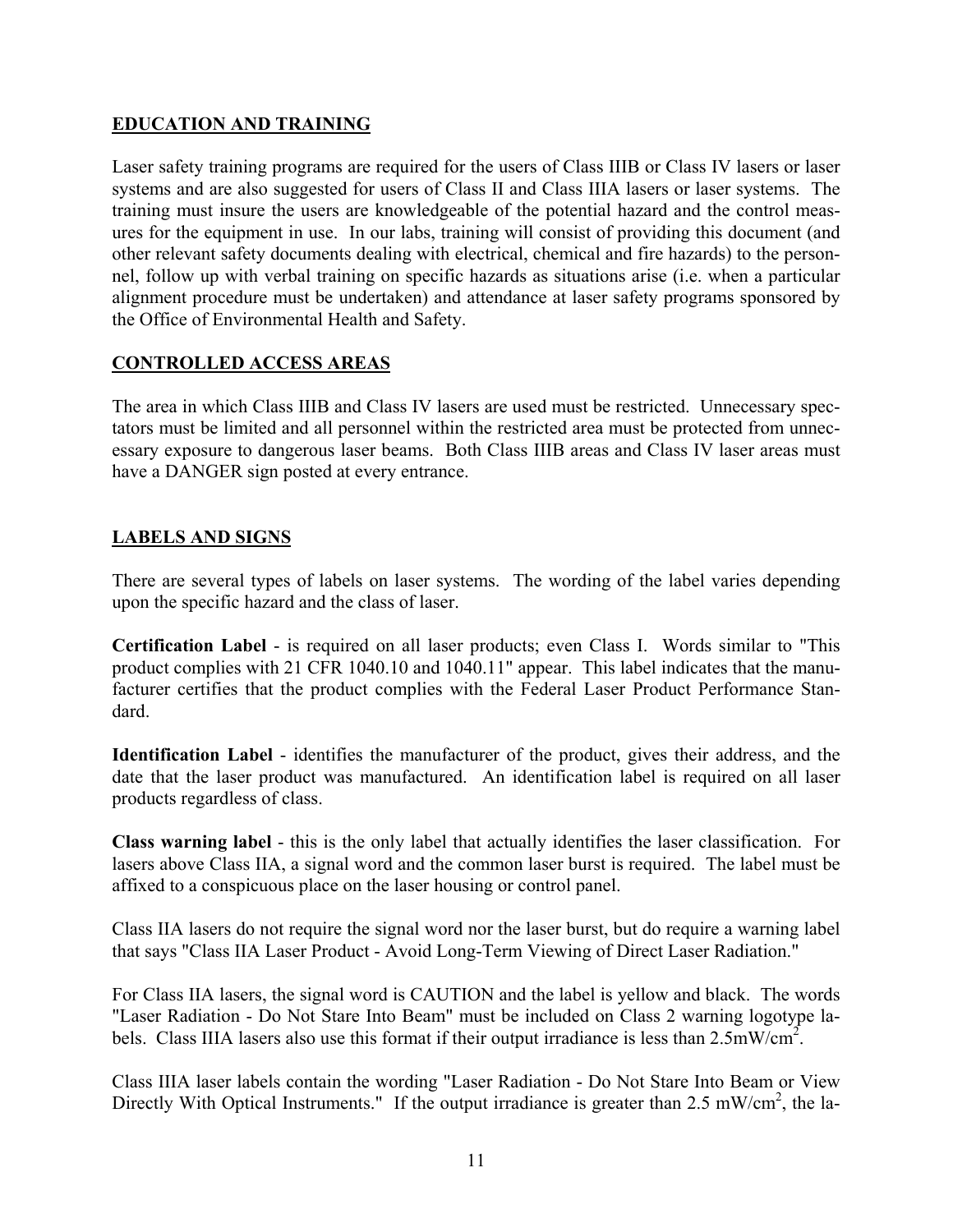### **EDUCATION AND TRAINING**

Laser safety training programs are required for the users of Class IIIB or Class IV lasers or laser systems and are also suggested for users of Class II and Class IIIA lasers or laser systems. The training must insure the users are knowledgeable of the potential hazard and the control measures for the equipment in use. In our labs, training will consist of providing this document (and other relevant safety documents dealing with electrical, chemical and fire hazards) to the personnel, follow up with verbal training on specific hazards as situations arise (i.e. when a particular alignment procedure must be undertaken) and attendance at laser safety programs sponsored by the Office of Environmental Health and Safety.

### **CONTROLLED ACCESS AREAS**

The area in which Class IIIB and Class IV lasers are used must be restricted. Unnecessary spectators must be limited and all personnel within the restricted area must be protected from unnecessary exposure to dangerous laser beams. Both Class IIIB areas and Class IV laser areas must have a DANGER sign posted at every entrance.

### **LABELS AND SIGNS**

There are several types of labels on laser systems. The wording of the label varies depending upon the specific hazard and the class of laser.

**Certification Label** - is required on all laser products; even Class I. Words similar to "This product complies with 21 CFR 1040.10 and 1040.11" appear. This label indicates that the manufacturer certifies that the product complies with the Federal Laser Product Performance Standard.

**Identification Label** - identifies the manufacturer of the product, gives their address, and the date that the laser product was manufactured. An identification label is required on all laser products regardless of class.

**Class warning label** - this is the only label that actually identifies the laser classification. For lasers above Class IIA, a signal word and the common laser burst is required. The label must be affixed to a conspicuous place on the laser housing or control panel.

Class IIA lasers do not require the signal word nor the laser burst, but do require a warning label that says "Class IIA Laser Product - Avoid Long-Term Viewing of Direct Laser Radiation."

For Class IIA lasers, the signal word is CAUTION and the label is yellow and black. The words "Laser Radiation - Do Not Stare Into Beam" must be included on Class 2 warning logotype labels. Class IIIA lasers also use this format if their output irradiance is less than  $2.5 \text{mW/cm}^2$ .

Class IIIA laser labels contain the wording "Laser Radiation - Do Not Stare Into Beam or View Directly With Optical Instruments." If the output irradiance is greater than 2.5 mW/cm<sup>2</sup>, the la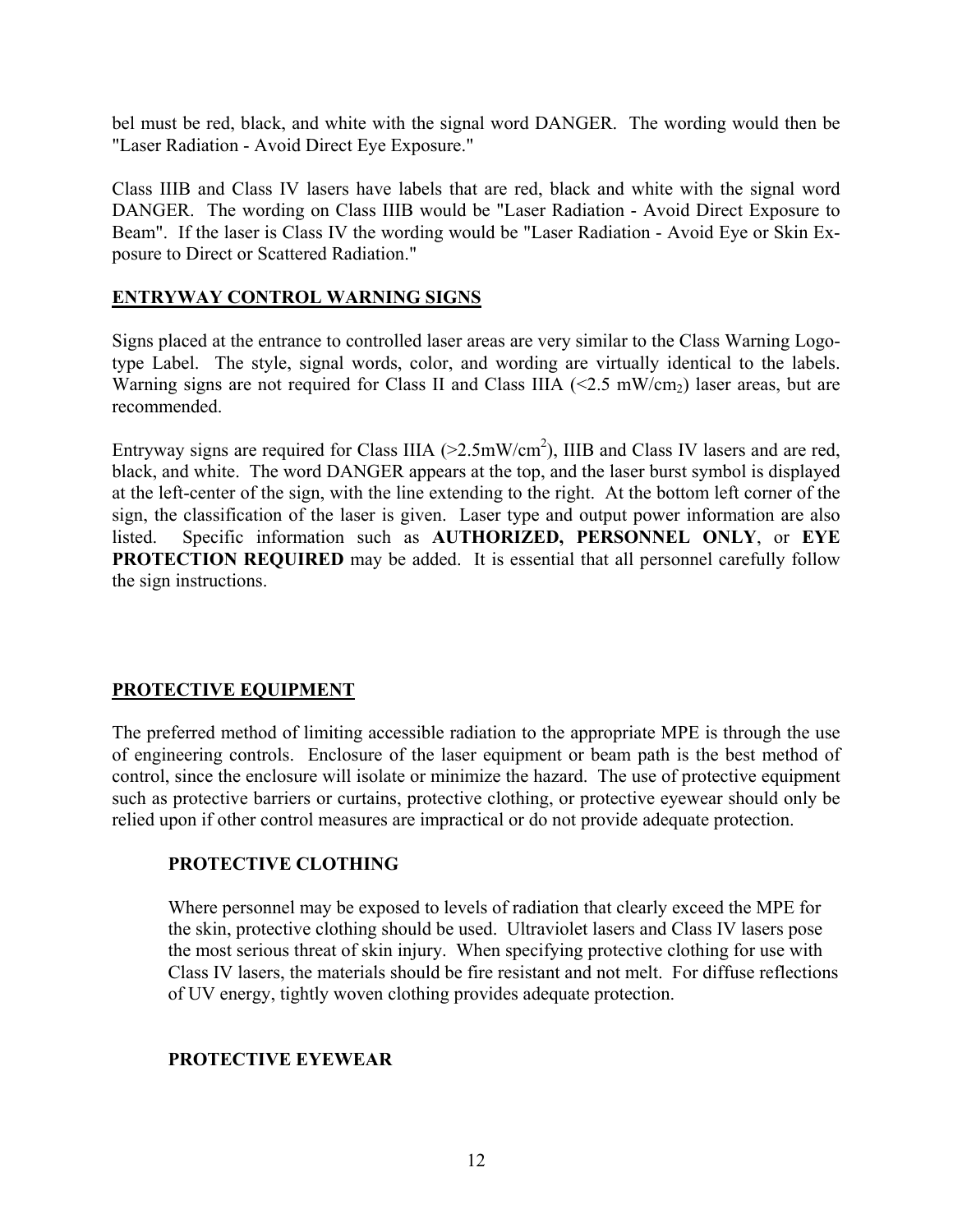bel must be red, black, and white with the signal word DANGER. The wording would then be "Laser Radiation - Avoid Direct Eye Exposure."

Class IIIB and Class IV lasers have labels that are red, black and white with the signal word DANGER. The wording on Class IIIB would be "Laser Radiation - Avoid Direct Exposure to Beam". If the laser is Class IV the wording would be "Laser Radiation - Avoid Eye or Skin Exposure to Direct or Scattered Radiation."

### **ENTRYWAY CONTROL WARNING SIGNS**

Signs placed at the entrance to controlled laser areas are very similar to the Class Warning Logotype Label. The style, signal words, color, and wording are virtually identical to the labels. Warning signs are not required for Class II and Class IIIA  $\leq 2.5$  mW/cm<sub>2</sub>) laser areas, but are recommended.

Entryway signs are required for Class IIIA  $(>2.5 \text{mW/cm}^2)$ , IIIB and Class IV lasers and are red, black, and white. The word DANGER appears at the top, and the laser burst symbol is displayed at the left-center of the sign, with the line extending to the right. At the bottom left corner of the sign, the classification of the laser is given. Laser type and output power information are also listed. Specific information such as **AUTHORIZED, PERSONNEL ONLY**, or **EYE PROTECTION REQUIRED** may be added. It is essential that all personnel carefully follow the sign instructions.

### **PROTECTIVE EQUIPMENT**

The preferred method of limiting accessible radiation to the appropriate MPE is through the use of engineering controls. Enclosure of the laser equipment or beam path is the best method of control, since the enclosure will isolate or minimize the hazard. The use of protective equipment such as protective barriers or curtains, protective clothing, or protective eyewear should only be relied upon if other control measures are impractical or do not provide adequate protection.

### **PROTECTIVE CLOTHING**

Where personnel may be exposed to levels of radiation that clearly exceed the MPE for the skin, protective clothing should be used. Ultraviolet lasers and Class IV lasers pose the most serious threat of skin injury. When specifying protective clothing for use with Class IV lasers, the materials should be fire resistant and not melt. For diffuse reflections of UV energy, tightly woven clothing provides adequate protection.

#### **PROTECTIVE EYEWEAR**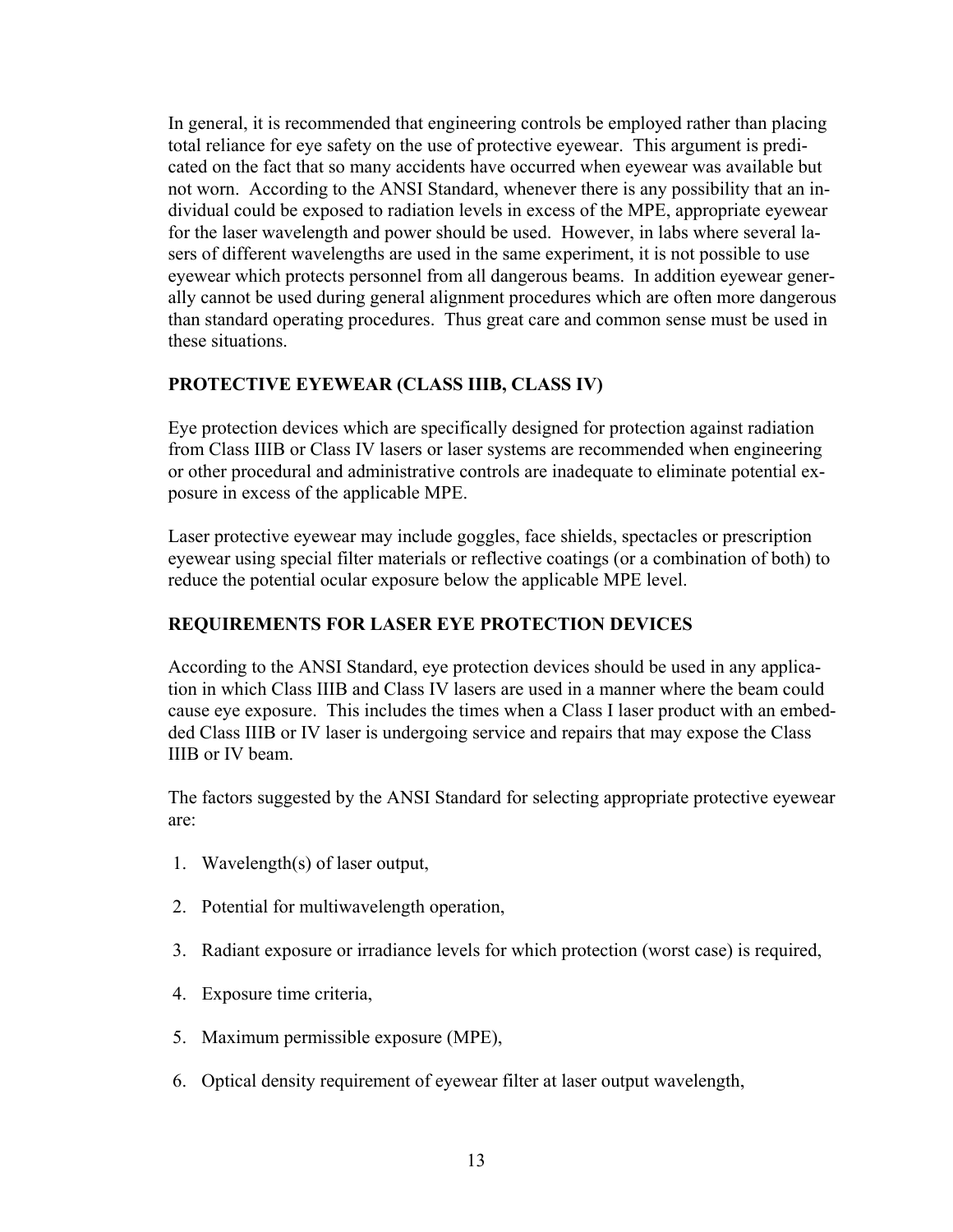In general, it is recommended that engineering controls be employed rather than placing total reliance for eye safety on the use of protective eyewear. This argument is predicated on the fact that so many accidents have occurred when eyewear was available but not worn. According to the ANSI Standard, whenever there is any possibility that an individual could be exposed to radiation levels in excess of the MPE, appropriate eyewear for the laser wavelength and power should be used. However, in labs where several lasers of different wavelengths are used in the same experiment, it is not possible to use eyewear which protects personnel from all dangerous beams. In addition eyewear generally cannot be used during general alignment procedures which are often more dangerous than standard operating procedures. Thus great care and common sense must be used in these situations.

### **PROTECTIVE EYEWEAR (CLASS IIIB, CLASS IV)**

 Eye protection devices which are specifically designed for protection against radiation from Class IIIB or Class IV lasers or laser systems are recommended when engineering or other procedural and administrative controls are inadequate to eliminate potential exposure in excess of the applicable MPE.

 Laser protective eyewear may include goggles, face shields, spectacles or prescription eyewear using special filter materials or reflective coatings (or a combination of both) to reduce the potential ocular exposure below the applicable MPE level.

### **REQUIREMENTS FOR LASER EYE PROTECTION DEVICES**

According to the ANSI Standard, eye protection devices should be used in any application in which Class IIIB and Class IV lasers are used in a manner where the beam could cause eye exposure. This includes the times when a Class I laser product with an embedded Class IIIB or IV laser is undergoing service and repairs that may expose the Class IIIB or IV beam.

 The factors suggested by the ANSI Standard for selecting appropriate protective eyewear are:

- 1. Wavelength(s) of laser output,
- 2. Potential for multiwavelength operation,
- 3. Radiant exposure or irradiance levels for which protection (worst case) is required,
- 4. Exposure time criteria,
- 5. Maximum permissible exposure (MPE),
- 6. Optical density requirement of eyewear filter at laser output wavelength,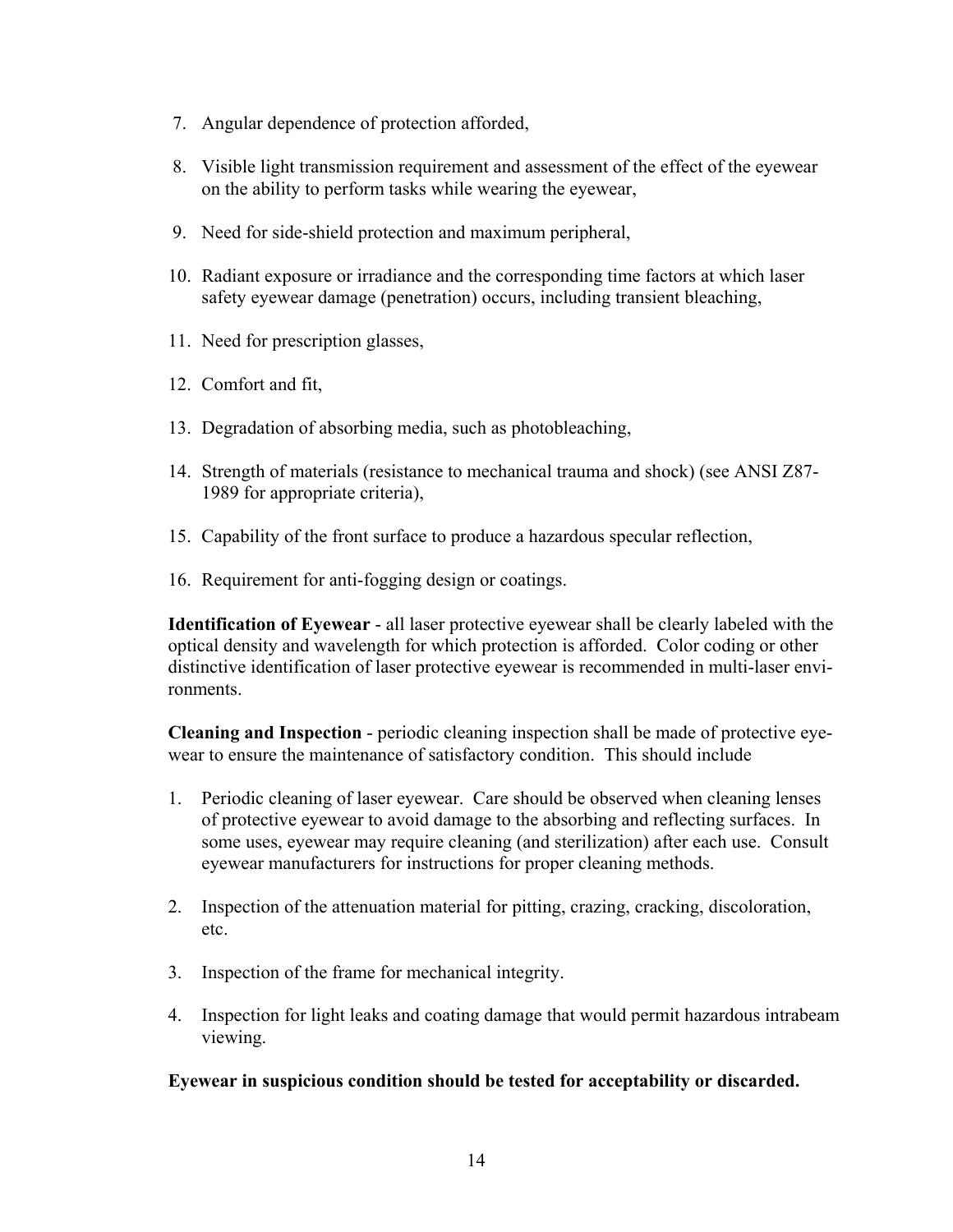- 7. Angular dependence of protection afforded,
- 8. Visible light transmission requirement and assessment of the effect of the eyewear on the ability to perform tasks while wearing the eyewear,
- 9. Need for side-shield protection and maximum peripheral,
- 10. Radiant exposure or irradiance and the corresponding time factors at which laser safety eyewear damage (penetration) occurs, including transient bleaching,
- 11. Need for prescription glasses,
- 12. Comfort and fit,
- 13. Degradation of absorbing media, such as photobleaching,
- 14. Strength of materials (resistance to mechanical trauma and shock) (see ANSI Z87- 1989 for appropriate criteria),
- 15. Capability of the front surface to produce a hazardous specular reflection,
- 16. Requirement for anti-fogging design or coatings.

**Identification of Eyewear** - all laser protective eyewear shall be clearly labeled with the optical density and wavelength for which protection is afforded. Color coding or other distinctive identification of laser protective eyewear is recommended in multi-laser environments.

 **Cleaning and Inspection** - periodic cleaning inspection shall be made of protective eyewear to ensure the maintenance of satisfactory condition. This should include

- 1. Periodic cleaning of laser eyewear. Care should be observed when cleaning lenses of protective eyewear to avoid damage to the absorbing and reflecting surfaces. In some uses, eyewear may require cleaning (and sterilization) after each use. Consult eyewear manufacturers for instructions for proper cleaning methods.
- 2. Inspection of the attenuation material for pitting, crazing, cracking, discoloration, etc.
- 3. Inspection of the frame for mechanical integrity.
- 4. Inspection for light leaks and coating damage that would permit hazardous intrabeam viewing.

#### **Eyewear in suspicious condition should be tested for acceptability or discarded.**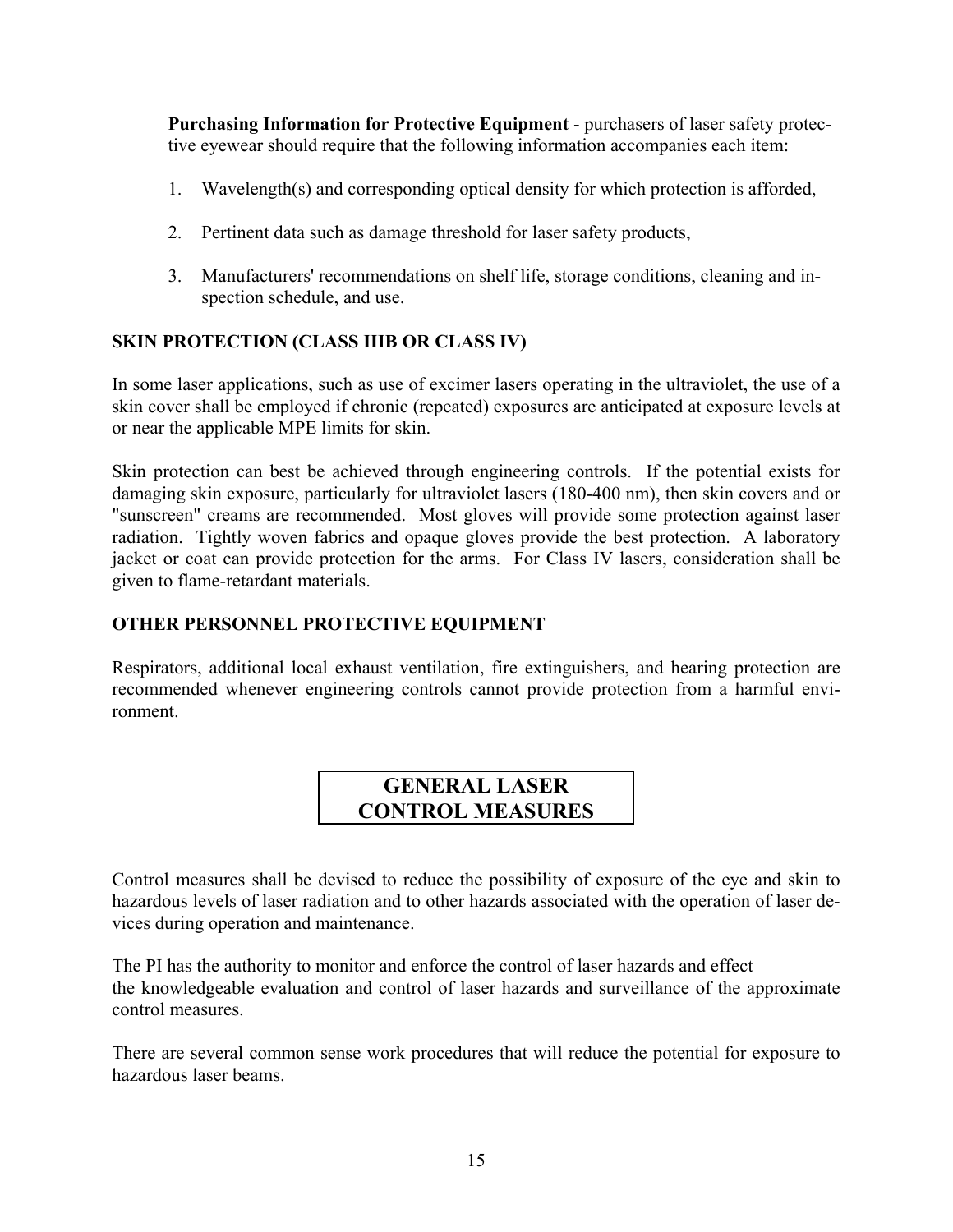**Purchasing Information for Protective Equipment** - purchasers of laser safety protective eyewear should require that the following information accompanies each item:

- 1. Wavelength(s) and corresponding optical density for which protection is afforded,
- 2. Pertinent data such as damage threshold for laser safety products,
- 3. Manufacturers' recommendations on shelf life, storage conditions, cleaning and inspection schedule, and use.

## **SKIN PROTECTION (CLASS IIIB OR CLASS IV)**

In some laser applications, such as use of excimer lasers operating in the ultraviolet, the use of a skin cover shall be employed if chronic (repeated) exposures are anticipated at exposure levels at or near the applicable MPE limits for skin.

Skin protection can best be achieved through engineering controls. If the potential exists for damaging skin exposure, particularly for ultraviolet lasers (180-400 nm), then skin covers and or "sunscreen" creams are recommended. Most gloves will provide some protection against laser radiation. Tightly woven fabrics and opaque gloves provide the best protection. A laboratory jacket or coat can provide protection for the arms. For Class IV lasers, consideration shall be given to flame-retardant materials.

### **OTHER PERSONNEL PROTECTIVE EQUIPMENT**

Respirators, additional local exhaust ventilation, fire extinguishers, and hearing protection are recommended whenever engineering controls cannot provide protection from a harmful environment.

# **GENERAL LASER CONTROL MEASURES**

Control measures shall be devised to reduce the possibility of exposure of the eye and skin to hazardous levels of laser radiation and to other hazards associated with the operation of laser devices during operation and maintenance.

The PI has the authority to monitor and enforce the control of laser hazards and effect the knowledgeable evaluation and control of laser hazards and surveillance of the approximate control measures.

There are several common sense work procedures that will reduce the potential for exposure to hazardous laser beams.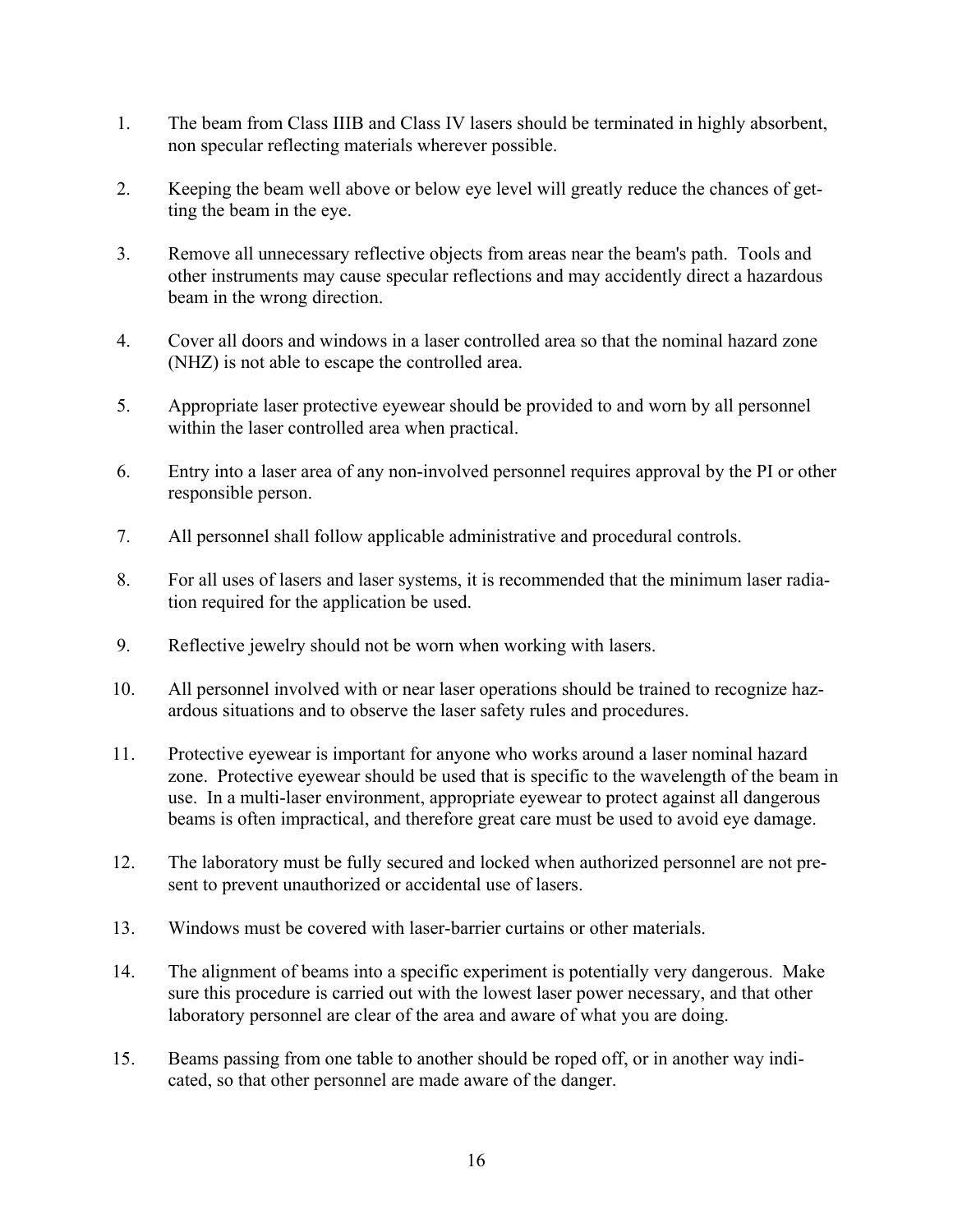- 1. The beam from Class IIIB and Class IV lasers should be terminated in highly absorbent, non specular reflecting materials wherever possible.
- 2. Keeping the beam well above or below eye level will greatly reduce the chances of getting the beam in the eye.
- 3. Remove all unnecessary reflective objects from areas near the beam's path. Tools and other instruments may cause specular reflections and may accidently direct a hazardous beam in the wrong direction.
- 4. Cover all doors and windows in a laser controlled area so that the nominal hazard zone (NHZ) is not able to escape the controlled area.
- 5. Appropriate laser protective eyewear should be provided to and worn by all personnel within the laser controlled area when practical.
- 6. Entry into a laser area of any non-involved personnel requires approval by the PI or other responsible person.
- 7. All personnel shall follow applicable administrative and procedural controls.
- 8. For all uses of lasers and laser systems, it is recommended that the minimum laser radiation required for the application be used.
- 9. Reflective jewelry should not be worn when working with lasers.
- 10. All personnel involved with or near laser operations should be trained to recognize hazardous situations and to observe the laser safety rules and procedures.
- 11. Protective eyewear is important for anyone who works around a laser nominal hazard zone. Protective eyewear should be used that is specific to the wavelength of the beam in use. In a multi-laser environment, appropriate eyewear to protect against all dangerous beams is often impractical, and therefore great care must be used to avoid eye damage.
- 12. The laboratory must be fully secured and locked when authorized personnel are not present to prevent unauthorized or accidental use of lasers.
- 13. Windows must be covered with laser-barrier curtains or other materials.
- 14. The alignment of beams into a specific experiment is potentially very dangerous. Make sure this procedure is carried out with the lowest laser power necessary, and that other laboratory personnel are clear of the area and aware of what you are doing.
- 15. Beams passing from one table to another should be roped off, or in another way indicated, so that other personnel are made aware of the danger.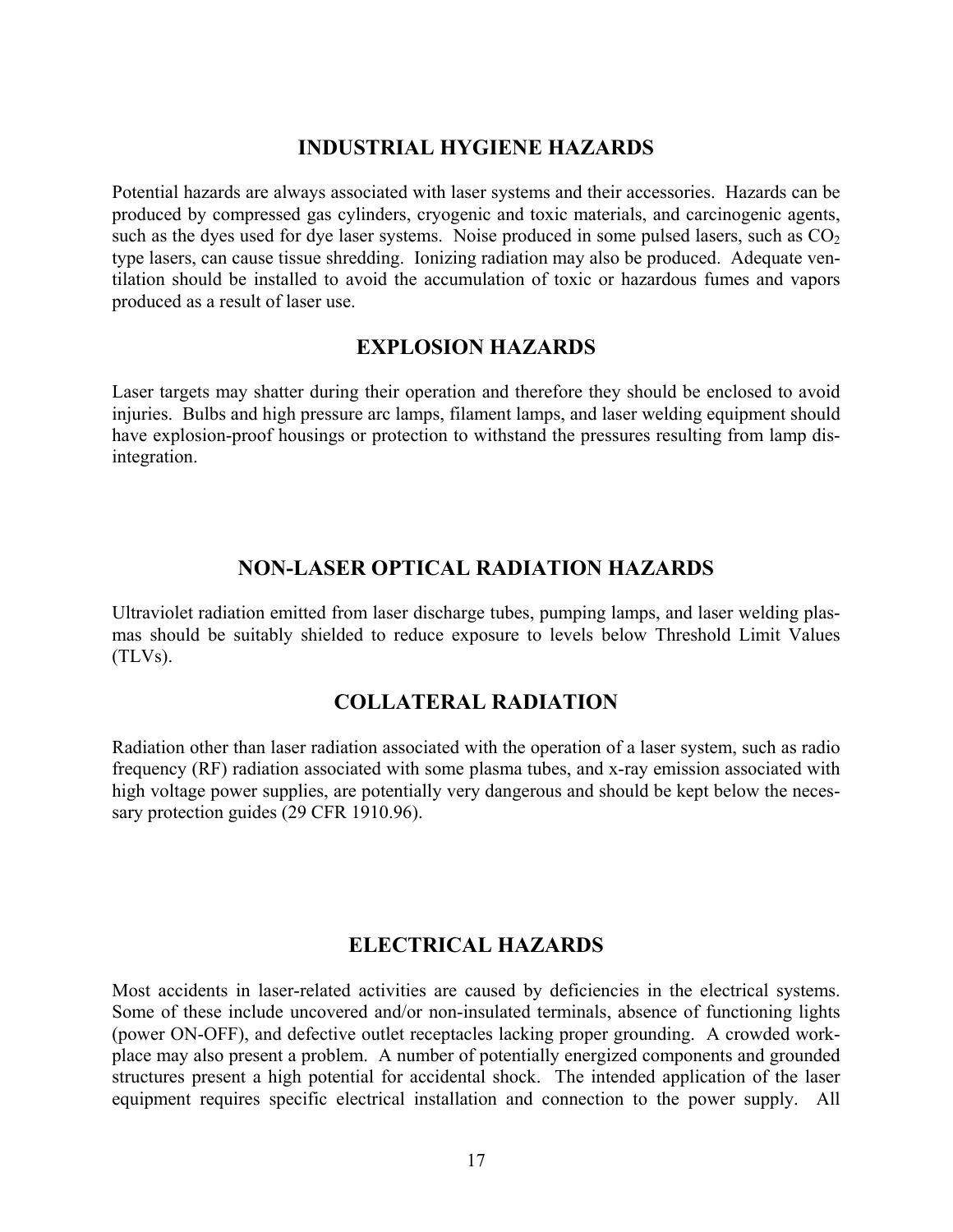## **INDUSTRIAL HYGIENE HAZARDS**

Potential hazards are always associated with laser systems and their accessories. Hazards can be produced by compressed gas cylinders, cryogenic and toxic materials, and carcinogenic agents, such as the dyes used for dye laser systems. Noise produced in some pulsed lasers, such as  $CO<sub>2</sub>$ type lasers, can cause tissue shredding. Ionizing radiation may also be produced. Adequate ventilation should be installed to avoid the accumulation of toxic or hazardous fumes and vapors produced as a result of laser use.

## **EXPLOSION HAZARDS**

Laser targets may shatter during their operation and therefore they should be enclosed to avoid injuries. Bulbs and high pressure arc lamps, filament lamps, and laser welding equipment should have explosion-proof housings or protection to withstand the pressures resulting from lamp disintegration.

# **NON-LASER OPTICAL RADIATION HAZARDS**

Ultraviolet radiation emitted from laser discharge tubes, pumping lamps, and laser welding plasmas should be suitably shielded to reduce exposure to levels below Threshold Limit Values (TLVs).

## **COLLATERAL RADIATION**

Radiation other than laser radiation associated with the operation of a laser system, such as radio frequency (RF) radiation associated with some plasma tubes, and x-ray emission associated with high voltage power supplies, are potentially very dangerous and should be kept below the necessary protection guides (29 CFR 1910.96).

# **ELECTRICAL HAZARDS**

Most accidents in laser-related activities are caused by deficiencies in the electrical systems. Some of these include uncovered and/or non-insulated terminals, absence of functioning lights (power ON-OFF), and defective outlet receptacles lacking proper grounding. A crowded workplace may also present a problem. A number of potentially energized components and grounded structures present a high potential for accidental shock. The intended application of the laser equipment requires specific electrical installation and connection to the power supply. All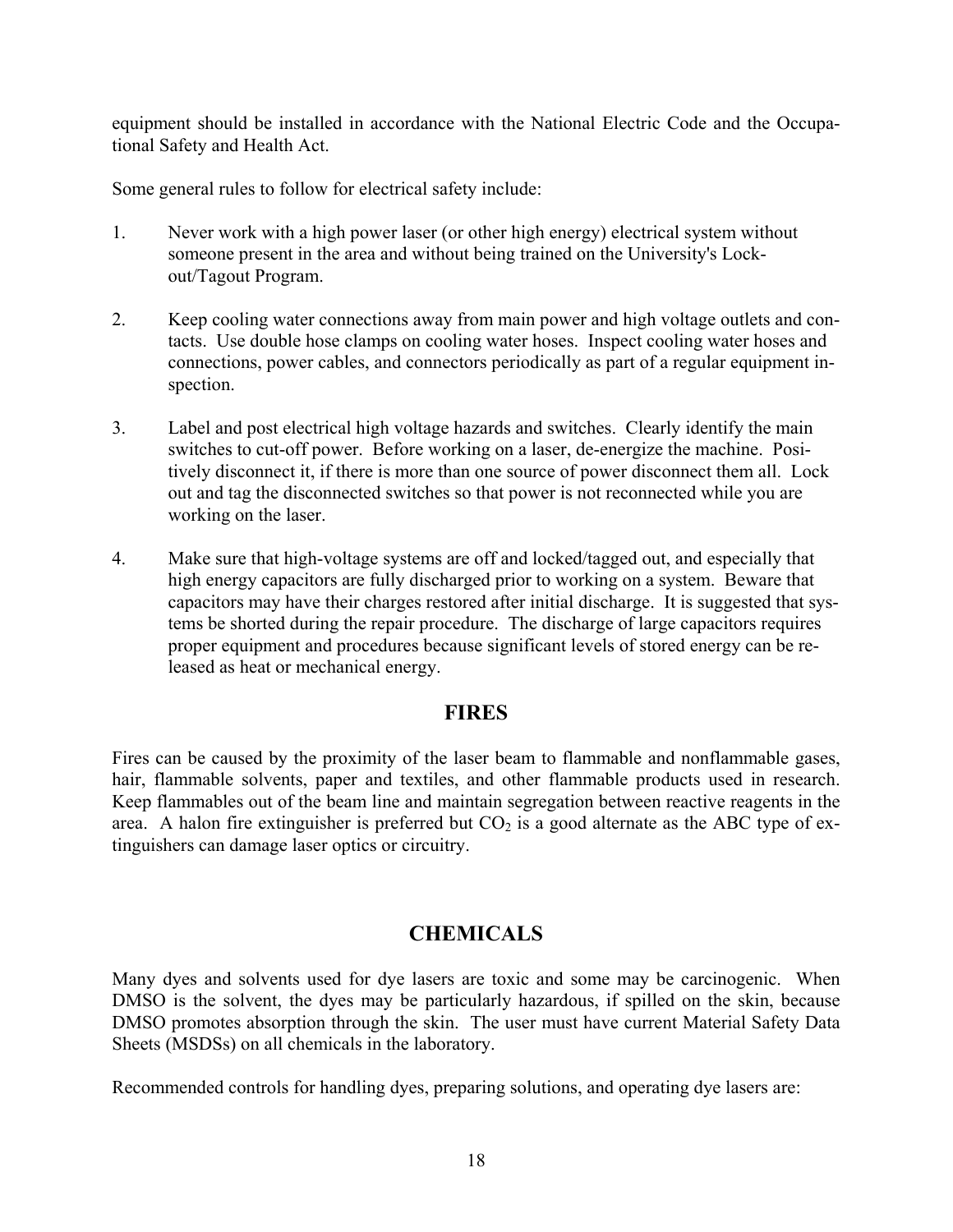equipment should be installed in accordance with the National Electric Code and the Occupational Safety and Health Act.

Some general rules to follow for electrical safety include:

- 1. Never work with a high power laser (or other high energy) electrical system without someone present in the area and without being trained on the University's Lockout/Tagout Program.
- 2. Keep cooling water connections away from main power and high voltage outlets and contacts. Use double hose clamps on cooling water hoses. Inspect cooling water hoses and connections, power cables, and connectors periodically as part of a regular equipment inspection.
- 3. Label and post electrical high voltage hazards and switches. Clearly identify the main switches to cut-off power. Before working on a laser, de-energize the machine. Positively disconnect it, if there is more than one source of power disconnect them all. Lock out and tag the disconnected switches so that power is not reconnected while you are working on the laser.
- 4. Make sure that high-voltage systems are off and locked/tagged out, and especially that high energy capacitors are fully discharged prior to working on a system. Beware that capacitors may have their charges restored after initial discharge. It is suggested that systems be shorted during the repair procedure. The discharge of large capacitors requires proper equipment and procedures because significant levels of stored energy can be released as heat or mechanical energy.

## **FIRES**

Fires can be caused by the proximity of the laser beam to flammable and nonflammable gases, hair, flammable solvents, paper and textiles, and other flammable products used in research. Keep flammables out of the beam line and maintain segregation between reactive reagents in the area. A halon fire extinguisher is preferred but  $CO<sub>2</sub>$  is a good alternate as the ABC type of extinguishers can damage laser optics or circuitry.

## **CHEMICALS**

Many dyes and solvents used for dye lasers are toxic and some may be carcinogenic. When DMSO is the solvent, the dyes may be particularly hazardous, if spilled on the skin, because DMSO promotes absorption through the skin. The user must have current Material Safety Data Sheets (MSDSs) on all chemicals in the laboratory.

Recommended controls for handling dyes, preparing solutions, and operating dye lasers are: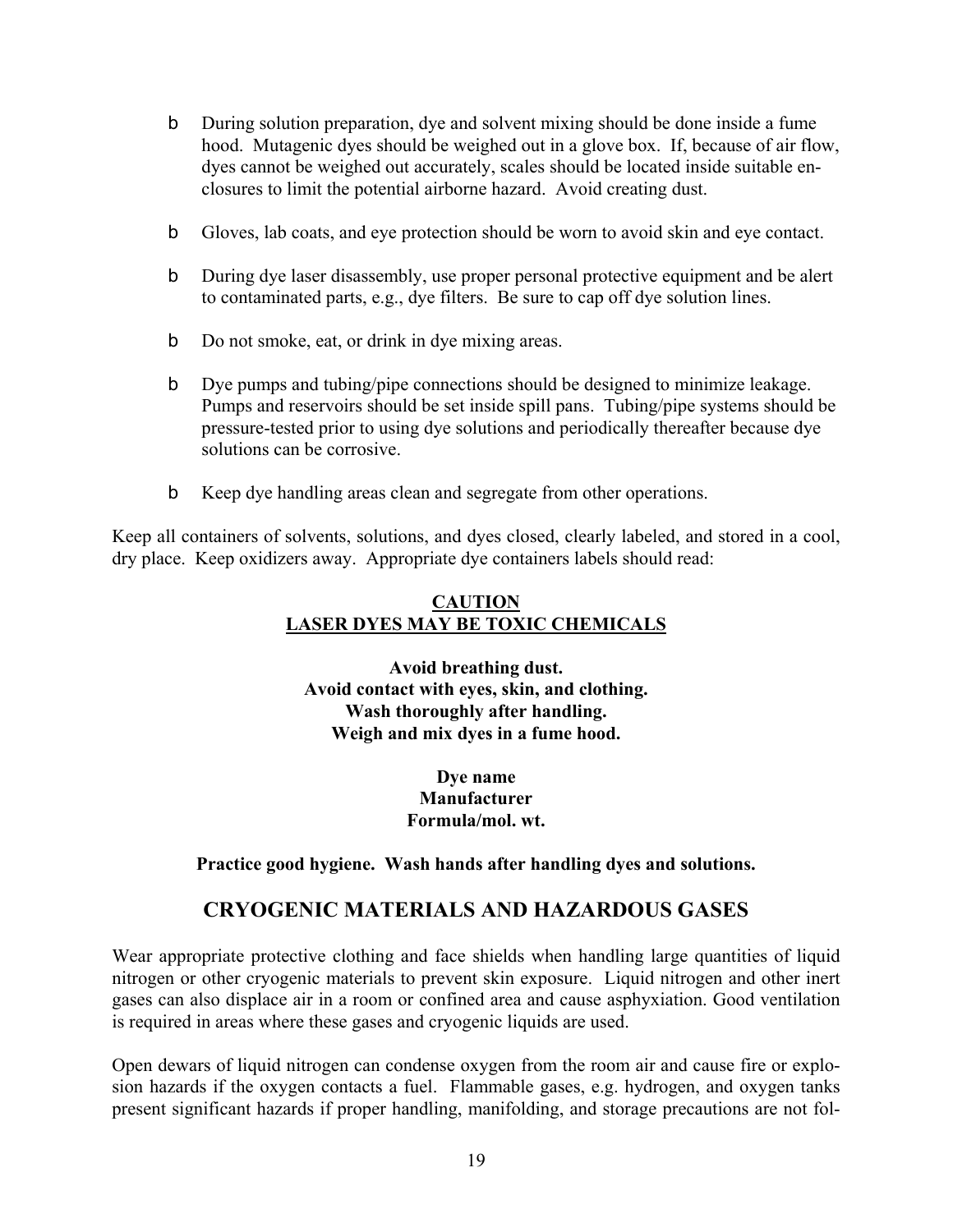- b During solution preparation, dye and solvent mixing should be done inside a fume hood. Mutagenic dyes should be weighed out in a glove box. If, because of air flow, dyes cannot be weighed out accurately, scales should be located inside suitable enclosures to limit the potential airborne hazard. Avoid creating dust.
- b Gloves, lab coats, and eye protection should be worn to avoid skin and eye contact.
- b During dye laser disassembly, use proper personal protective equipment and be alert to contaminated parts, e.g., dye filters. Be sure to cap off dye solution lines.
- b Do not smoke, eat, or drink in dye mixing areas.
- b Dye pumps and tubing/pipe connections should be designed to minimize leakage. Pumps and reservoirs should be set inside spill pans. Tubing/pipe systems should be pressure-tested prior to using dye solutions and periodically thereafter because dye solutions can be corrosive.
- b Keep dye handling areas clean and segregate from other operations.

Keep all containers of solvents, solutions, and dyes closed, clearly labeled, and stored in a cool, dry place. Keep oxidizers away. Appropriate dye containers labels should read:

### **CAUTION LASER DYES MAY BE TOXIC CHEMICALS**

**Avoid breathing dust. Avoid contact with eyes, skin, and clothing. Wash thoroughly after handling. Weigh and mix dyes in a fume hood.** 

#### **Dye name Manufacturer Formula/mol. wt.**

**Practice good hygiene. Wash hands after handling dyes and solutions.** 

# **CRYOGENIC MATERIALS AND HAZARDOUS GASES**

Wear appropriate protective clothing and face shields when handling large quantities of liquid nitrogen or other cryogenic materials to prevent skin exposure. Liquid nitrogen and other inert gases can also displace air in a room or confined area and cause asphyxiation. Good ventilation is required in areas where these gases and cryogenic liquids are used.

Open dewars of liquid nitrogen can condense oxygen from the room air and cause fire or explosion hazards if the oxygen contacts a fuel. Flammable gases, e.g. hydrogen, and oxygen tanks present significant hazards if proper handling, manifolding, and storage precautions are not fol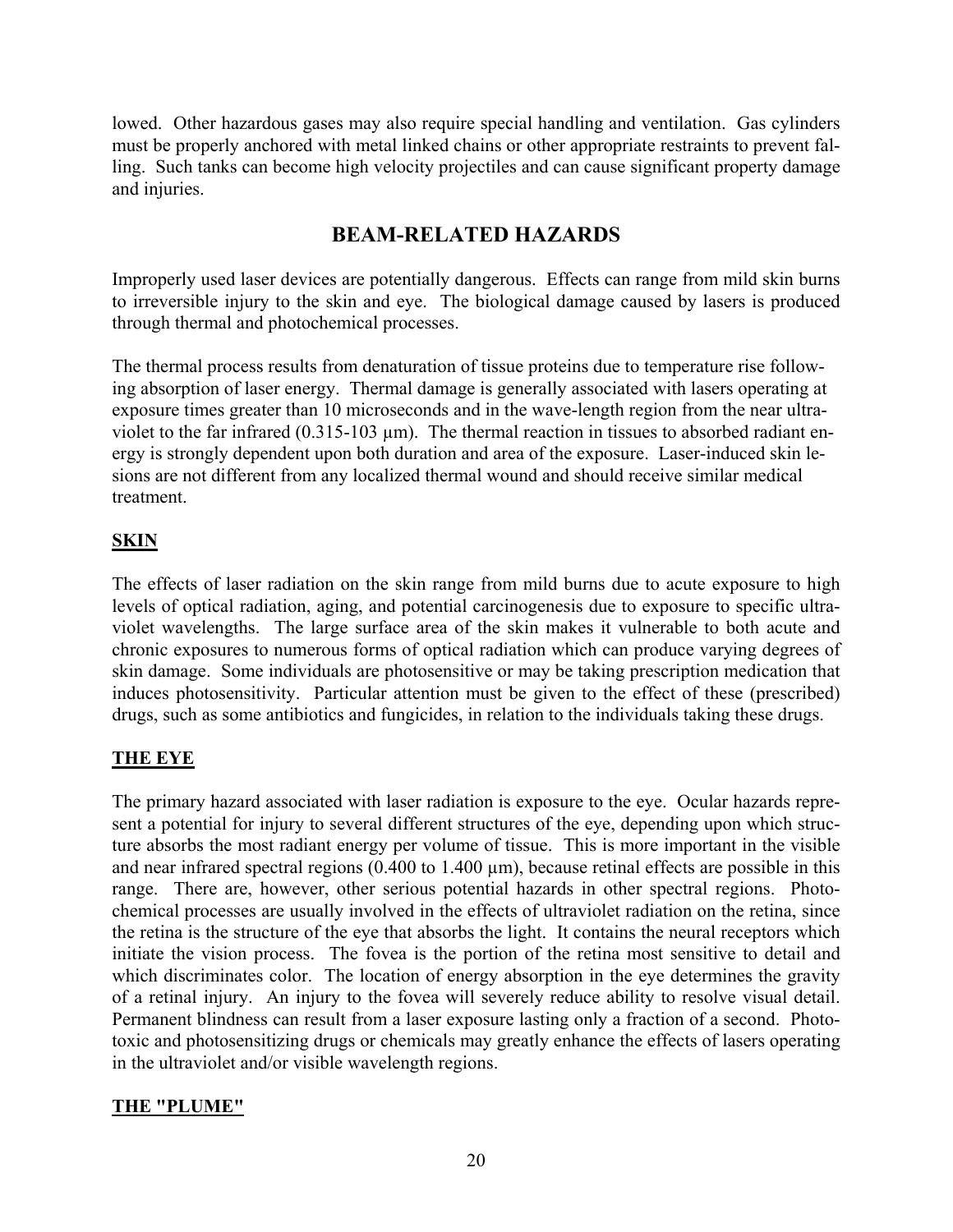lowed. Other hazardous gases may also require special handling and ventilation. Gas cylinders must be properly anchored with metal linked chains or other appropriate restraints to prevent falling. Such tanks can become high velocity projectiles and can cause significant property damage and injuries.

# **BEAM-RELATED HAZARDS**

Improperly used laser devices are potentially dangerous. Effects can range from mild skin burns to irreversible injury to the skin and eye. The biological damage caused by lasers is produced through thermal and photochemical processes.

The thermal process results from denaturation of tissue proteins due to temperature rise following absorption of laser energy. Thermal damage is generally associated with lasers operating at exposure times greater than 10 microseconds and in the wave-length region from the near ultraviolet to the far infrared  $(0.315-103 \mu m)$ . The thermal reaction in tissues to absorbed radiant energy is strongly dependent upon both duration and area of the exposure. Laser-induced skin lesions are not different from any localized thermal wound and should receive similar medical treatment.

## **SKIN**

The effects of laser radiation on the skin range from mild burns due to acute exposure to high levels of optical radiation, aging, and potential carcinogenesis due to exposure to specific ultraviolet wavelengths. The large surface area of the skin makes it vulnerable to both acute and chronic exposures to numerous forms of optical radiation which can produce varying degrees of skin damage. Some individuals are photosensitive or may be taking prescription medication that induces photosensitivity. Particular attention must be given to the effect of these (prescribed) drugs, such as some antibiotics and fungicides, in relation to the individuals taking these drugs.

# **THE EYE**

The primary hazard associated with laser radiation is exposure to the eye. Ocular hazards represent a potential for injury to several different structures of the eye, depending upon which structure absorbs the most radiant energy per volume of tissue. This is more important in the visible and near infrared spectral regions (0.400 to 1.400  $\mu$ m), because retinal effects are possible in this range. There are, however, other serious potential hazards in other spectral regions. Photochemical processes are usually involved in the effects of ultraviolet radiation on the retina, since the retina is the structure of the eye that absorbs the light. It contains the neural receptors which initiate the vision process. The fovea is the portion of the retina most sensitive to detail and which discriminates color. The location of energy absorption in the eye determines the gravity of a retinal injury. An injury to the fovea will severely reduce ability to resolve visual detail. Permanent blindness can result from a laser exposure lasting only a fraction of a second. Phototoxic and photosensitizing drugs or chemicals may greatly enhance the effects of lasers operating in the ultraviolet and/or visible wavelength regions.

### **THE "PLUME"**